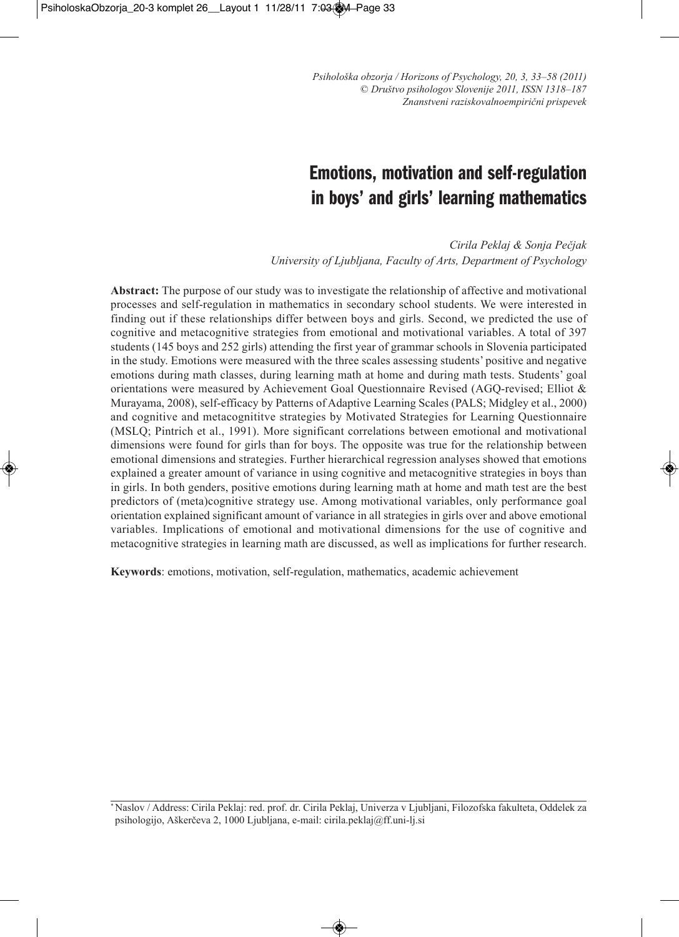# **Emotions, motivation and self-regulation in boys' and girls' learning mathematics**

*Cirila Peklaj & Sonja Pečjak university of Ljubljana, Faculty of Arts, Department of Psychology*

**Abstract:** The purpose of our study was to investigate the relationship of affective and motivational processes and self-regulation in mathematics in secondary school students. We were interested in finding out if these relationships differ between boys and girls. Second, we predicted the use of cognitive and metacognitive strategies from emotional and motivational variables. A total of 397 students (145 boys and 252 girls) attending the first year of grammar schools in Slovenia participated in the study. Emotions were measured with the three scales assessing students' positive and negative emotions during math classes, during learning math at home and during math tests. Students' goal orientations were measured by Achievement Goal Questionnaire Revised (AGQ-revised; Elliot & Murayama, 2008), self-efficacy by Patterns of Adaptive Learning Scales (PALS; Midgley et al., 2000) and cognitive and metacognititve strategies by Motivated Strategies for Learning Questionnaire (MSLQ; Pintrich et al., 1991). More significant correlations between emotional and motivational dimensions were found for girls than for boys. The opposite was true for the relationship between emotional dimensions and strategies. Further hierarchical regression analyses showed that emotions explained a greater amount of variance in using cognitive and metacognitive strategies in boys than in girls. In both genders, positive emotions during learning math at home and math test are the best predictors of (meta)cognitive strategy use. Among motivational variables, only performance goal orientation explained significant amount of variance in all strategies in girls over and above emotional variables. Implications of emotional and motivational dimensions for the use of cognitive and metacognitive strategies in learning math are discussed, as well as implications for further research.

**Keywords**: emotions, motivation, self-regulation, mathematics, academic achievement

\* Naslov / Address: Cirila Peklaj: red. prof. dr. Cirila Peklaj, Univerza v Ljubljani, Filozofska fakulteta, Oddelek za psihologijo, Aškerčeva 2, 1000 Ljubljana, e-mail: cirila.peklaj@ff.uni-lj.si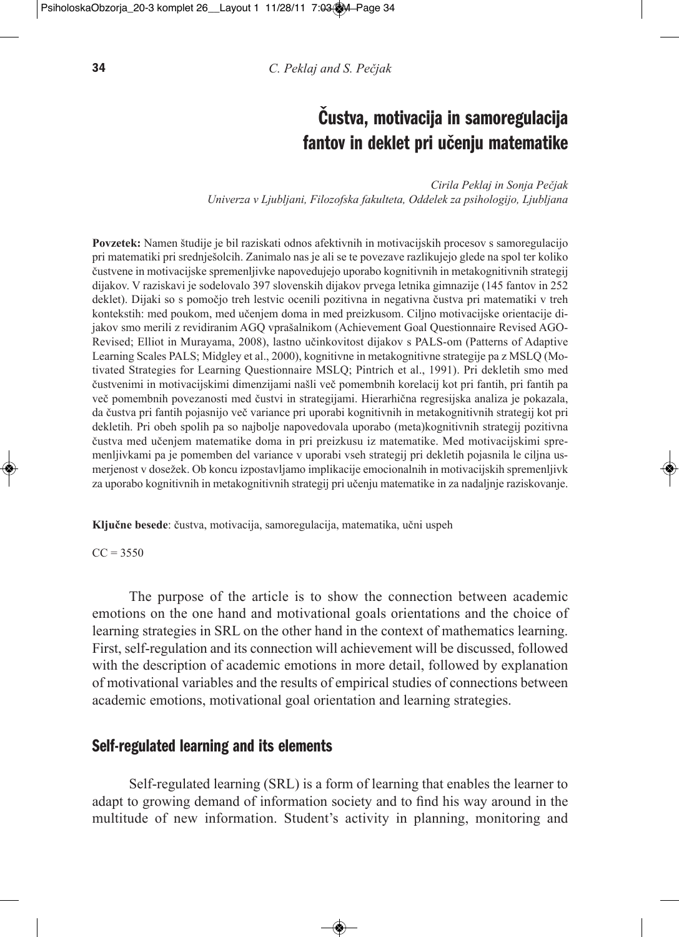# **Čustva, motivacija in samoregulacija fantov in deklet pri učenju matematike**

*Cirila Peklaj in Sonja Pečjak univerza v Ljubljani, Filozofska fakulteta, Oddelek za psihologijo, Ljubljana*

**Povzetek:** Namen študije je bil raziskati odnos afektivnih in motivacijskih procesov s samoregulacijo pri matematiki pri srednješolcih. Zanimalo nas je ali se te povezave razlikujejo glede na spol ter koliko čustvene in motivacijske spremenljivke napovedujejo uporabo kognitivnih in metakognitivnih strategij dijakov. V raziskavi je sodelovalo 397 slovenskih dijakov prvega letnika gimnazije (145 fantov in 252 deklet). Dijaki so s pomočjo treh lestvic ocenili pozitivna in negativna čustva pri matematiki v treh kontekstih: med poukom, med učenjem doma in med preizkusom. Ciljno motivacijske orientacije dijakov smo merili z revidiranim AGQ vprašalnikom (Achievement Goal Questionnaire Revised AGO-Revised; Elliot in Murayama, 2008), lastno učinkovitost dijakov s PALS-om (Patterns of Adaptive Learning Scales PALS; Midgley et al., 2000), kognitivne in metakognitivne strategije pa z MSLQ (Motivated Strategies for Learning Questionnaire MSLQ; Pintrich et al., 1991). Pri dekletih smo med čustvenimi in motivacijskimi dimenzijami našli več pomembnih korelacij kot pri fantih, pri fantih pa več pomembnih povezanosti med čustvi in strategijami. Hierarhična regresijska analiza je pokazala, da čustva pri fantih pojasnijo več variance pri uporabi kognitivnih in metakognitivnih strategij kot pri dekletih. Pri obeh spolih pa so najbolje napovedovala uporabo (meta)kognitivnih strategij pozitivna čustva med učenjem matematike doma in pri preizkusu iz matematike. Med motivacijskimi spremenljivkami pa je pomemben del variance v uporabi vseh strategij pri dekletih pojasnila le ciljna usmerjenost v dosežek. Ob koncu izpostavljamo implikacije emocionalnih in motivacijskih spremenljivk za uporabo kognitivnih in metakognitivnih strategij pri učenju matematike in za nadaljnje raziskovanje.

**Ključne besede**: čustva, motivacija, samoregulacija, matematika, učni uspeh

#### $CC = 3550$

The purpose of the article is to show the connection between academic emotions on the one hand and motivational goals orientations and the choice of learning strategies in SRL on the other hand in the context of mathematics learning. First, self-regulation and its connection will achievement will be discussed, followed with the description of academic emotions in more detail, followed by explanation of motivational variables and the results of empirical studies of connections between academic emotions, motivational goal orientation and learning strategies.

## **Self-regulated learning and its elements**

Self-regulated learning (SRL) is a form of learning that enables the learner to adapt to growing demand of information society and to find his way around in the multitude of new information. Student's activity in planning, monitoring and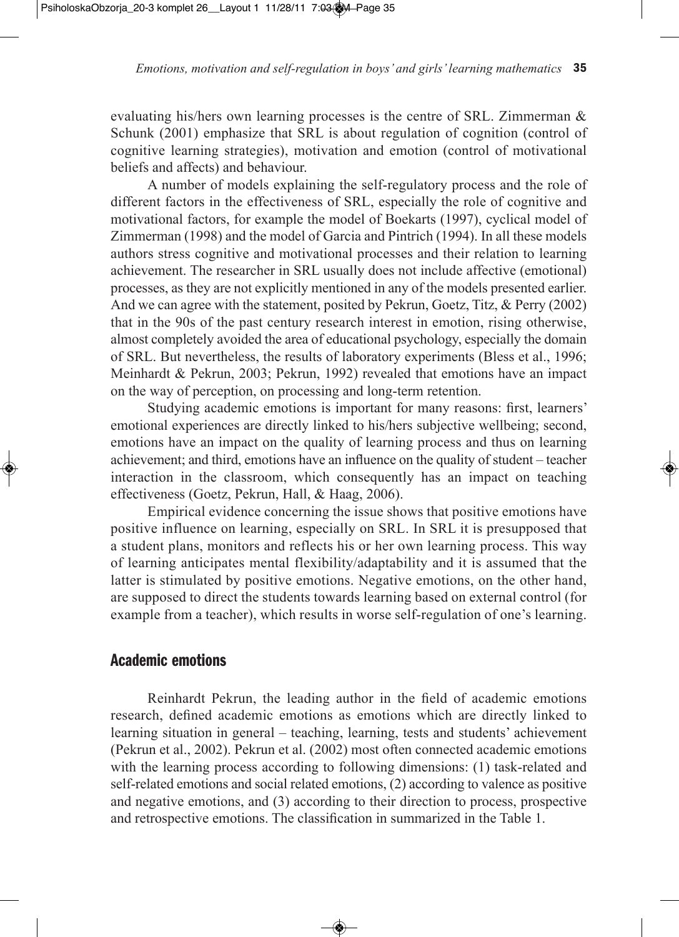evaluating his/hers own learning processes is the centre of SRL. Zimmerman & Schunk (2001) emphasize that SRL is about regulation of cognition (control of cognitive learning strategies), motivation and emotion (control of motivational beliefs and affects) and behaviour.

A number of models explaining the self-regulatory process and the role of different factors in the effectiveness of SRL, especially the role of cognitive and motivational factors, for example the model of Boekarts (1997), cyclical model of Zimmerman (1998) and the model of Garcia and Pintrich (1994). In all these models authors stress cognitive and motivational processes and their relation to learning achievement. The researcher in SRL usually does not include affective (emotional) processes, as they are not explicitly mentioned in any of the models presented earlier. And we can agree with the statement, posited by Pekrun, Goetz, Titz, & Perry (2002) that in the 90s of the past century research interest in emotion, rising otherwise, almost completely avoided the area of educational psychology, especially the domain of SRL. But nevertheless, the results of laboratory experiments (Bless et al., 1996; Meinhardt & Pekrun, 2003; Pekrun, 1992) revealed that emotions have an impact on the way of perception, on processing and long-term retention.

Studying academic emotions is important for many reasons: first, learners' emotional experiences are directly linked to his/hers subjective wellbeing; second, emotions have an impact on the quality of learning process and thus on learning achievement; and third, emotions have an influence on the quality of student – teacher interaction in the classroom, which consequently has an impact on teaching effectiveness (Goetz, Pekrun, Hall, & Haag, 2006).

Empirical evidence concerning the issue shows that positive emotions have positive influence on learning, especially on SRL. In SRL it is presupposed that a student plans, monitors and reflects his or her own learning process. This way of learning anticipates mental flexibility/adaptability and it is assumed that the latter is stimulated by positive emotions. Negative emotions, on the other hand, are supposed to direct the students towards learning based on external control (for example from a teacher), which results in worse self-regulation of one's learning.

# **Academic emotions**

Reinhardt Pekrun, the leading author in the field of academic emotions research, defined academic emotions as emotions which are directly linked to learning situation in general – teaching, learning, tests and students' achievement (Pekrun et al., 2002). Pekrun et al. (2002) most often connected academic emotions with the learning process according to following dimensions: (1) task-related and self-related emotions and social related emotions, (2) according to valence as positive and negative emotions, and (3) according to their direction to process, prospective and retrospective emotions. The classification in summarized in the Table 1.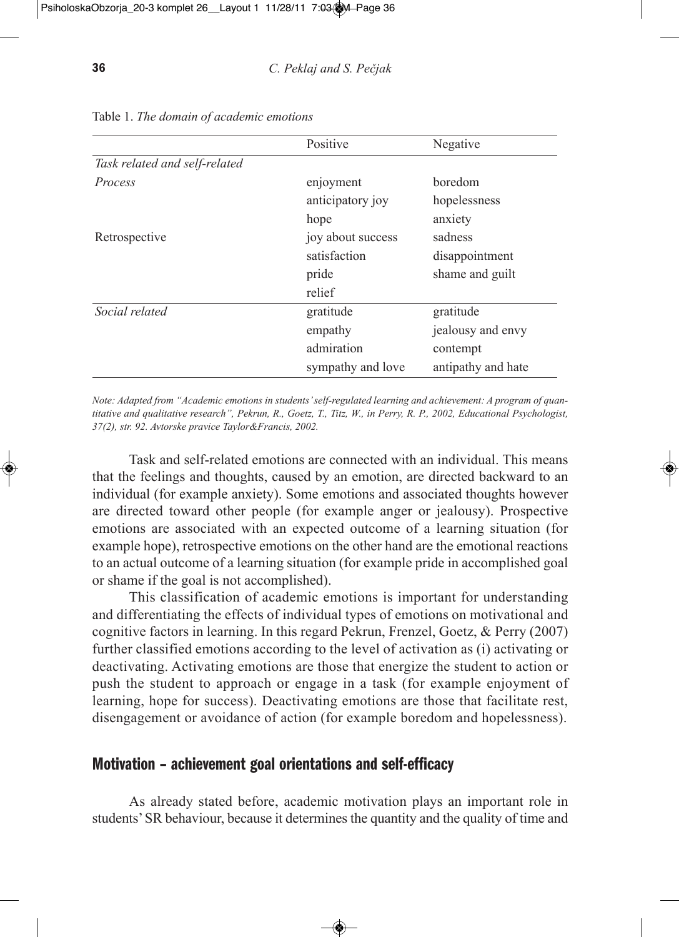|                               | Positive          | Negative           |
|-------------------------------|-------------------|--------------------|
| Task related and self-related |                   |                    |
| Process                       | enjoyment         | boredom            |
|                               | anticipatory joy  | hopelessness       |
|                               | hope              | anxiety            |
| Retrospective                 | joy about success | sadness            |
|                               | satisfaction      | disappointment     |
|                               | pride             | shame and guilt    |
|                               | relief            |                    |
| Social related                | gratitude         | gratitude          |
|                               | empathy           | jealousy and envy  |
|                               | admiration        | contempt           |
|                               | sympathy and love | antipathy and hate |

Table 1. *The domain of academic emotions*

*Note: Adapted from "Academic emotions in students'self-regulated learning and achievement: A program of quan*titative and qualitative research", Pekrun, R., Goetz, T., Titz, W., in Perry, R. P., 2002, Educational Psychologist, *37(2), str. 92. Avtorske pravice Taylor&Francis, 2002.*

Task and self-related emotions are connected with an individual. This means that the feelings and thoughts, caused by an emotion, are directed backward to an individual (for example anxiety). Some emotions and associated thoughts however are directed toward other people (for example anger or jealousy). Prospective emotions are associated with an expected outcome of a learning situation (for example hope), retrospective emotions on the other hand are the emotional reactions to an actual outcome of a learning situation (for example pride in accomplished goal or shame if the goal is not accomplished).

This classification of academic emotions is important for understanding and differentiating the effects of individual types of emotions on motivational and cognitive factors in learning. In this regard Pekrun, Frenzel, Goetz, & Perry (2007) further classified emotions according to the level of activation as (i) activating or deactivating. Activating emotions are those that energize the student to action or push the student to approach or engage in a task (for example enjoyment of learning, hope for success). Deactivating emotions are those that facilitate rest, disengagement or avoidance of action (for example boredom and hopelessness).

## **Motivation – achievement goal orientations and self-efficacy**

As already stated before, academic motivation plays an important role in students'SR behaviour, because it determines the quantity and the quality of time and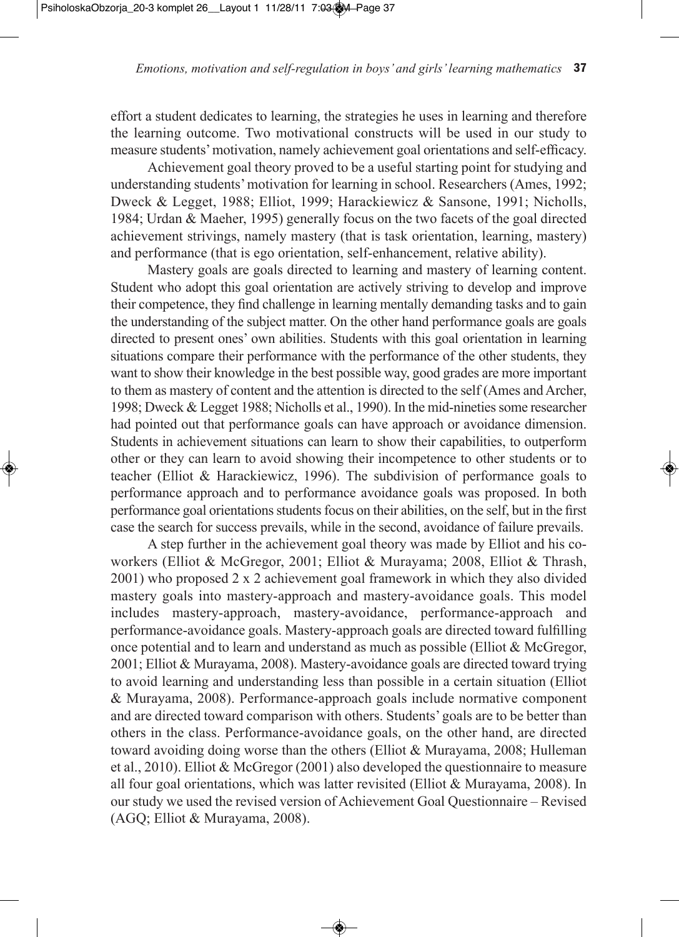effort a student dedicates to learning, the strategies he uses in learning and therefore the learning outcome. Two motivational constructs will be used in our study to measure students'motivation, namely achievement goal orientations and self-efficacy.

Achievement goal theory proved to be a useful starting point for studying and understanding students'motivation for learning in school. Researchers (Ames, 1992; Dweck & Legget, 1988; Elliot, 1999; Harackiewicz & Sansone, 1991; Nicholls, 1984; Urdan & Maeher, 1995) generally focus on the two facets of the goal directed achievement strivings, namely mastery (that is task orientation, learning, mastery) and performance (that is ego orientation, self-enhancement, relative ability).

Mastery goals are goals directed to learning and mastery of learning content. Student who adopt this goal orientation are actively striving to develop and improve their competence, they find challenge in learning mentally demanding tasks and to gain the understanding of the subject matter. On the other hand performance goals are goals directed to present ones' own abilities. Students with this goal orientation in learning situations compare their performance with the performance of the other students, they want to show their knowledge in the best possible way, good grades are more important to them as mastery of content and the attention is directed to the self (Ames and Archer, 1998; Dweck & Legget 1988; Nicholls et al., 1990). In the mid-nineties some researcher had pointed out that performance goals can have approach or avoidance dimension. Students in achievement situations can learn to show their capabilities, to outperform other or they can learn to avoid showing their incompetence to other students or to teacher (Elliot & Harackiewicz, 1996). The subdivision of performance goals to performance approach and to performance avoidance goals was proposed. In both performance goal orientations students focus on their abilities, on the self, but in the first case the search for success prevails, while in the second, avoidance of failure prevails.

A step further in the achievement goal theory was made by Elliot and his coworkers (Elliot & McGregor, 2001; Elliot & Murayama; 2008, Elliot & Thrash, 2001) who proposed 2 x 2 achievement goal framework in which they also divided mastery goals into mastery-approach and mastery-avoidance goals. This model includes mastery-approach, mastery-avoidance, performance-approach and performance-avoidance goals. Mastery-approach goals are directed toward fulfilling once potential and to learn and understand as much as possible (Elliot & McGregor, 2001; Elliot & Murayama, 2008). Mastery-avoidance goals are directed toward trying to avoid learning and understanding less than possible in a certain situation (Elliot & Murayama, 2008). Performance-approach goals include normative component and are directed toward comparison with others. Students' goals are to be better than others in the class. Performance-avoidance goals, on the other hand, are directed toward avoiding doing worse than the others (Elliot & Murayama, 2008; Hulleman et al., 2010). Elliot & McGregor (2001) also developed the questionnaire to measure all four goal orientations, which was latter revisited (Elliot & Murayama, 2008). In our study we used the revised version of Achievement Goal Questionnaire – Revised (AGQ; Elliot & Murayama, 2008).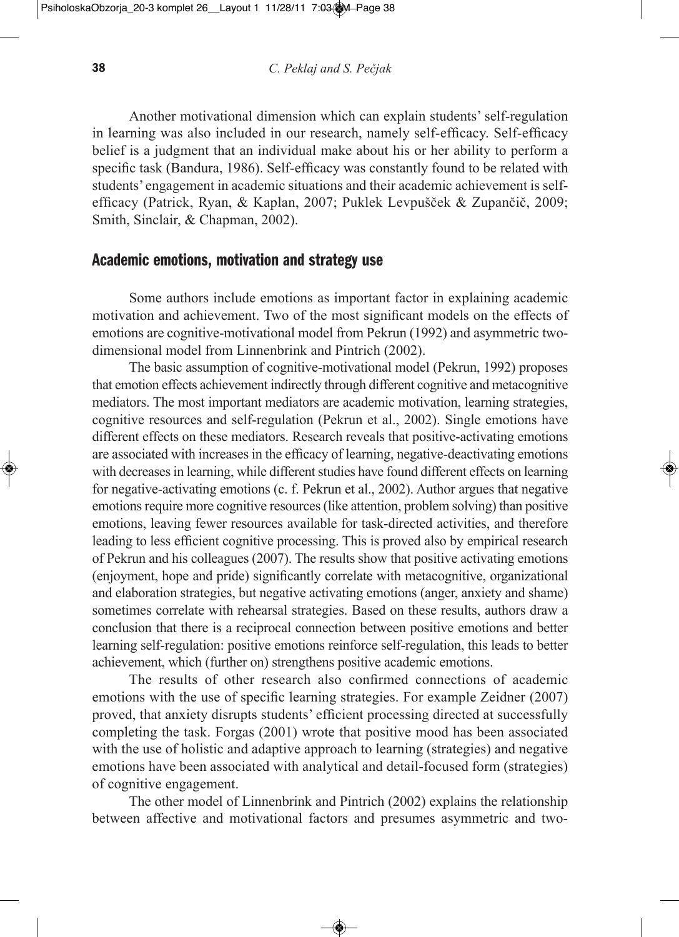Another motivational dimension which can explain students' self-regulation in learning was also included in our research, namely self-efficacy. Self-efficacy belief is a judgment that an individual make about his or her ability to perform a specific task (Bandura, 1986). Self-efficacy was constantly found to be related with students' engagement in academic situations and their academic achievement is selfefficacy (Patrick, Ryan, & Kaplan, 2007; Puklek Levpušček & Zupančič, 2009; Smith, Sinclair, & Chapman, 2002).

# **Academic emotions, motivation and strategy use**

Some authors include emotions as important factor in explaining academic motivation and achievement. Two of the most significant models on the effects of emotions are cognitive-motivational model from Pekrun (1992) and asymmetric twodimensional model from Linnenbrink and Pintrich (2002).

The basic assumption of cognitive-motivational model (Pekrun, 1992) proposes that emotion effects achievement indirectly through different cognitive and metacognitive mediators. The most important mediators are academic motivation, learning strategies, cognitive resources and self-regulation (Pekrun et al., 2002). Single emotions have different effects on these mediators. Research reveals that positive-activating emotions are associated with increases in the efficacy of learning, negative-deactivating emotions with decreases in learning, while different studies have found different effects on learning for negative-activating emotions (c. f. Pekrun et al., 2002). Author argues that negative emotions require more cognitive resources (like attention, problem solving) than positive emotions, leaving fewer resources available for task-directed activities, and therefore leading to less efficient cognitive processing. This is proved also by empirical research of Pekrun and his colleagues (2007). The results show that positive activating emotions (enjoyment, hope and pride) significantly correlate with metacognitive, organizational and elaboration strategies, but negative activating emotions (anger, anxiety and shame) sometimes correlate with rehearsal strategies. Based on these results, authors draw a conclusion that there is a reciprocal connection between positive emotions and better learning self-regulation: positive emotions reinforce self-regulation, this leads to better achievement, which (further on) strengthens positive academic emotions.

The results of other research also confirmed connections of academic emotions with the use of specific learning strategies. For example Zeidner (2007) proved, that anxiety disrupts students' efficient processing directed at successfully completing the task. Forgas (2001) wrote that positive mood has been associated with the use of holistic and adaptive approach to learning (strategies) and negative emotions have been associated with analytical and detail-focused form (strategies) of cognitive engagement.

The other model of Linnenbrink and Pintrich (2002) explains the relationship between affective and motivational factors and presumes asymmetric and two-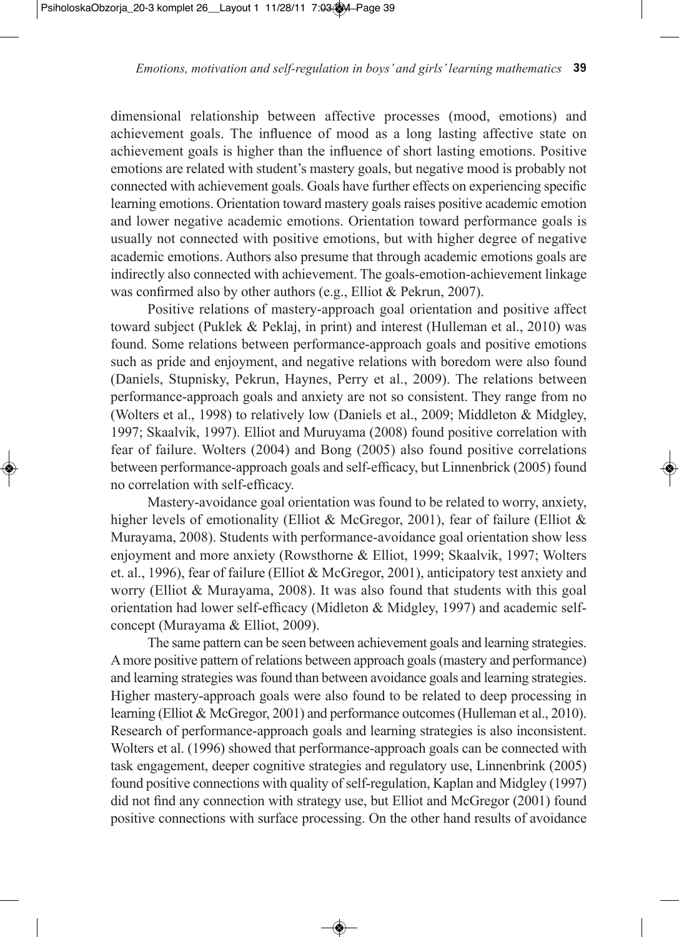dimensional relationship between affective processes (mood, emotions) and achievement goals. The influence of mood as a long lasting affective state on achievement goals is higher than the influence of short lasting emotions. Positive emotions are related with student's mastery goals, but negative mood is probably not connected with achievement goals. Goals have further effects on experiencing specific learning emotions. Orientation toward mastery goals raises positive academic emotion and lower negative academic emotions. Orientation toward performance goals is usually not connected with positive emotions, but with higher degree of negative academic emotions. Authors also presume that through academic emotions goals are indirectly also connected with achievement. The goals-emotion-achievement linkage was confirmed also by other authors (e.g., Elliot & Pekrun, 2007).

Positive relations of mastery-approach goal orientation and positive affect toward subject (Puklek & Peklaj, in print) and interest (Hulleman et al., 2010) was found. Some relations between performance-approach goals and positive emotions such as pride and enjoyment, and negative relations with boredom were also found (Daniels, Stupnisky, Pekrun, Haynes, Perry et al., 2009). The relations between performance-approach goals and anxiety are not so consistent. They range from no (Wolters et al., 1998) to relatively low (Daniels et al., 2009; Middleton & Midgley, 1997; Skaalvik, 1997). Elliot and Muruyama (2008) found positive correlation with fear of failure. Wolters (2004) and Bong (2005) also found positive correlations between performance-approach goals and self-efficacy, but Linnenbrick (2005) found no correlation with self-efficacy.

Mastery-avoidance goal orientation was found to be related to worry, anxiety, higher levels of emotionality (Elliot & McGregor, 2001), fear of failure (Elliot & Murayama, 2008). Students with performance-avoidance goal orientation show less enjoyment and more anxiety (Rowsthorne & Elliot, 1999; Skaalvik, 1997; Wolters et. al., 1996), fear of failure (Elliot & McGregor, 2001), anticipatory test anxiety and worry (Elliot & Murayama, 2008). It was also found that students with this goal orientation had lower self-efficacy (Midleton & Midgley, 1997) and academic selfconcept (Murayama & Elliot, 2009).

The same pattern can be seen between achievement goals and learning strategies. Amore positive pattern of relations between approach goals(mastery and performance) and learning strategies was found than between avoidance goals and learning strategies. Higher mastery-approach goals were also found to be related to deep processing in learning (Elliot & McGregor, 2001) and performance outcomes(Hulleman et al., 2010). Research of performance-approach goals and learning strategies is also inconsistent. Wolters et al. (1996) showed that performance-approach goals can be connected with task engagement, deeper cognitive strategies and regulatory use, Linnenbrink (2005) found positive connections with quality of self-regulation, Kaplan and Midgley (1997) did not find any connection with strategy use, but Elliot and McGregor (2001) found positive connections with surface processing. On the other hand results of avoidance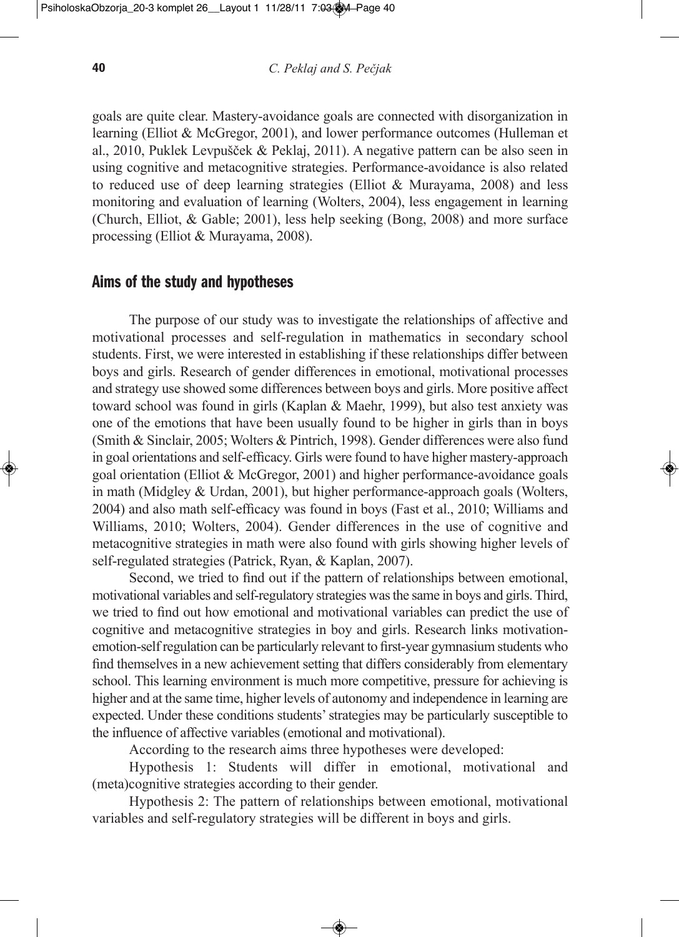goals are quite clear. Mastery-avoidance goals are connected with disorganization in learning (Elliot & McGregor, 2001), and lower performance outcomes (Hulleman et al., 2010, Puklek Levpušček & Peklaj, 2011). A negative pattern can be also seen in using cognitive and metacognitive strategies. Performance-avoidance is also related to reduced use of deep learning strategies (Elliot & Murayama, 2008) and less monitoring and evaluation of learning (Wolters, 2004), less engagement in learning (Church, Elliot, & Gable; 2001), less help seeking (Bong, 2008) and more surface processing (Elliot & Murayama, 2008).

## **Aims of the study and hypotheses**

The purpose of our study was to investigate the relationships of affective and motivational processes and self-regulation in mathematics in secondary school students. First, we were interested in establishing if these relationships differ between boys and girls. Research of gender differences in emotional, motivational processes and strategy use showed some differences between boys and girls. More positive affect toward school was found in girls (Kaplan & Maehr, 1999), but also test anxiety was one of the emotions that have been usually found to be higher in girls than in boys (Smith & Sinclair, 2005; Wolters & Pintrich, 1998). Gender differences were also fund in goal orientations and self-efficacy. Girls were found to have higher mastery-approach goal orientation (Elliot & McGregor, 2001) and higher performance-avoidance goals in math (Midgley & Urdan, 2001), but higher performance-approach goals (Wolters, 2004) and also math self-efficacy was found in boys (Fast et al., 2010; Williams and Williams, 2010; Wolters, 2004). Gender differences in the use of cognitive and metacognitive strategies in math were also found with girls showing higher levels of self-regulated strategies (Patrick, Ryan, & Kaplan, 2007).

Second, we tried to find out if the pattern of relationships between emotional, motivational variables and self-regulatory strategies wasthe same in boys and girls.Third, we tried to find out how emotional and motivational variables can predict the use of cognitive and metacognitive strategies in boy and girls. Research links motivationemotion-self regulation can be particularly relevant to first-year gymnasium students who find themselves in a new achievement setting that differs considerably from elementary school. This learning environment is much more competitive, pressure for achieving is higher and at the same time, higher levels of autonomy and independence in learning are expected. Under these conditions students'strategies may be particularly susceptible to the influence of affective variables (emotional and motivational).

According to the research aims three hypotheses were developed:

Hypothesis 1: Students will differ in emotional, motivational and (meta)cognitive strategies according to their gender.

Hypothesis 2: The pattern of relationships between emotional, motivational variables and self-regulatory strategies will be different in boys and girls.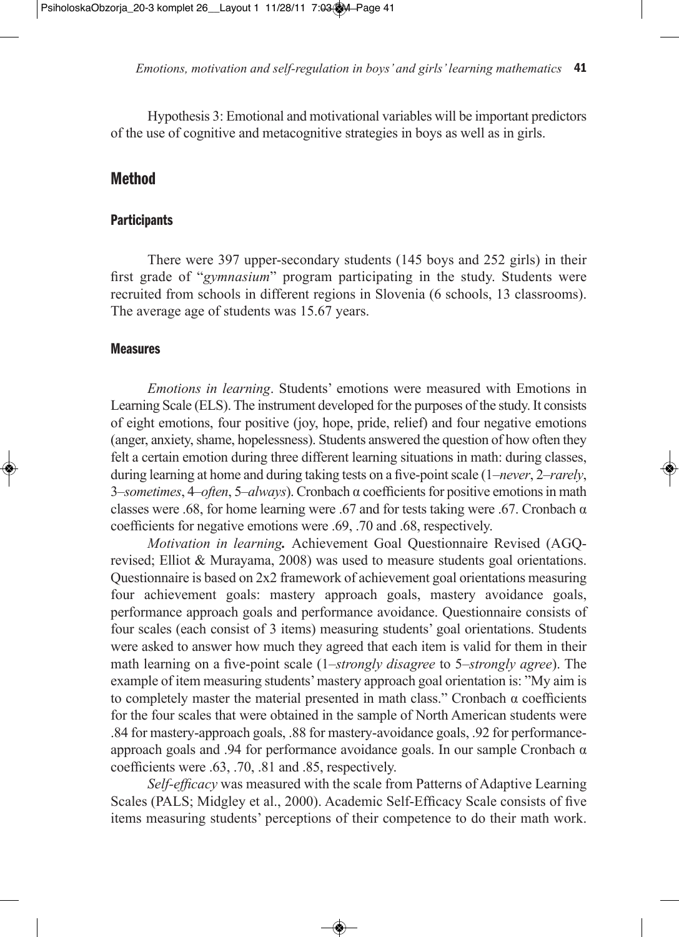Hypothesis 3: Emotional and motivational variables will be important predictors of the use of cognitive and metacognitive strategies in boys as well as in girls.

## **Method**

#### **Participants**

There were 397 upper-secondary students (145 boys and 252 girls) in their first grade of "*gymnasium*" program participating in the study. Students were recruited from schools in different regions in Slovenia (6 schools, 13 classrooms). The average age of students was 15.67 years.

## **Measures**

*emotions in learning*. Students' emotions were measured with Emotions in Learning Scale (ELS). The instrument developed for the purposes of the study. It consists of eight emotions, four positive (joy, hope, pride, relief) and four negative emotions (anger, anxiety, shame, hopelessness). Students answered the question of how often they felt a certain emotion during three different learning situations in math: during classes, during learning at home and during taking tests on a five-pointscale (1–*never*, 2–*rarely*, 3–*sometimes*, 4–*often*, 5–*always*). Cronbach α coefficientsfor positive emotionsin math classes were .68, for home learning were .67 and for tests taking were .67. Cronbach  $\alpha$ coefficients for negative emotions were .69, .70 and .68, respectively.

*Motivation in learning.* Achievement Goal Questionnaire Revised (AGQrevised; Elliot & Murayama, 2008) was used to measure students goal orientations. Questionnaire is based on 2x2 framework of achievement goal orientations measuring four achievement goals: mastery approach goals, mastery avoidance goals, performance approach goals and performance avoidance. Questionnaire consists of four scales (each consist of 3 items) measuring students' goal orientations. Students were asked to answer how much they agreed that each item is valid for them in their math learning on a five-point scale (1–*strongly disagree* to 5–*strongly agree*). The example of item measuring students'mastery approach goal orientation is: "My aim is to completely master the material presented in math class." Cronbach α coefficients for the four scales that were obtained in the sample of North American students were .84 for mastery-approach goals, .88 for mastery-avoidance goals, .92 for performanceapproach goals and .94 for performance avoidance goals. In our sample Cronbach  $α$ coefficients were .63, .70, .81 and .85, respectively.

*Self-efficacy* was measured with the scale from Patterns of Adaptive Learning Scales (PALS; Midgley et al., 2000). Academic Self-Efficacy Scale consists of five items measuring students' perceptions of their competence to do their math work.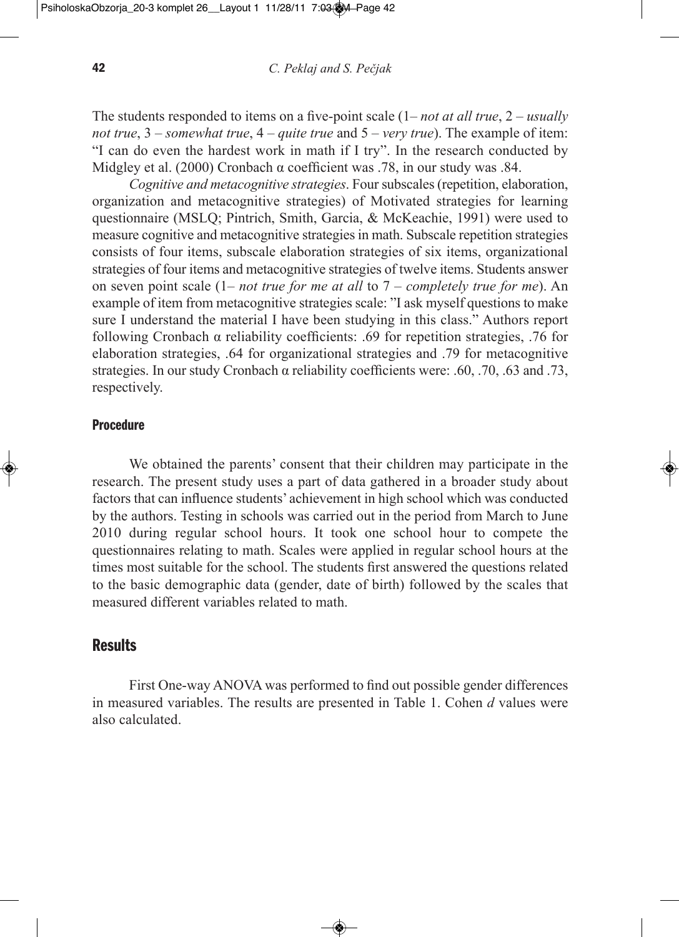The students responded to items on a five-point scale (1– *not at all true*, 2 – *usually not true*, 3 – *somewhat true*, 4 – *quite true* and 5 – *very true*). The example of item: "I can do even the hardest work in math if I try". In the research conducted by Midgley et al. (2000) Cronbach  $\alpha$  coefficient was .78, in our study was .84.

*Cognitive and metacognitive strategies*. Four subscales (repetition, elaboration, organization and metacognitive strategies) of Motivated strategies for learning questionnaire (MSLQ; Pintrich, Smith, Garcia, & McKeachie, 1991) were used to measure cognitive and metacognitive strategies in math. Subscale repetition strategies consists of four items, subscale elaboration strategies of six items, organizational strategies of four items and metacognitive strategies of twelve items. Students answer on seven point scale (1– *not true for me at all* to 7 – *completely true for me*). An example of item from metacognitive strategies scale: "I ask myself questions to make sure I understand the material I have been studying in this class." Authors report following Cronbach α reliability coefficients: .69 for repetition strategies, .76 for elaboration strategies, .64 for organizational strategies and .79 for metacognitive strategies. In our study Cronbach  $\alpha$  reliability coefficients were: .60, .70, .63 and .73, respectively.

#### **Procedure**

We obtained the parents' consent that their children may participate in the research. The present study uses a part of data gathered in a broader study about factors that can influence students' achievement in high school which was conducted by the authors. Testing in schools was carried out in the period from March to June 2010 during regular school hours. It took one school hour to compete the questionnaires relating to math. Scales were applied in regular school hours at the times most suitable for the school. The students first answered the questions related to the basic demographic data (gender, date of birth) followed by the scales that measured different variables related to math.

#### **Results**

First One-way ANOVA was performed to find out possible gender differences in measured variables. The results are presented in Table 1. Cohen *d* values were also calculated.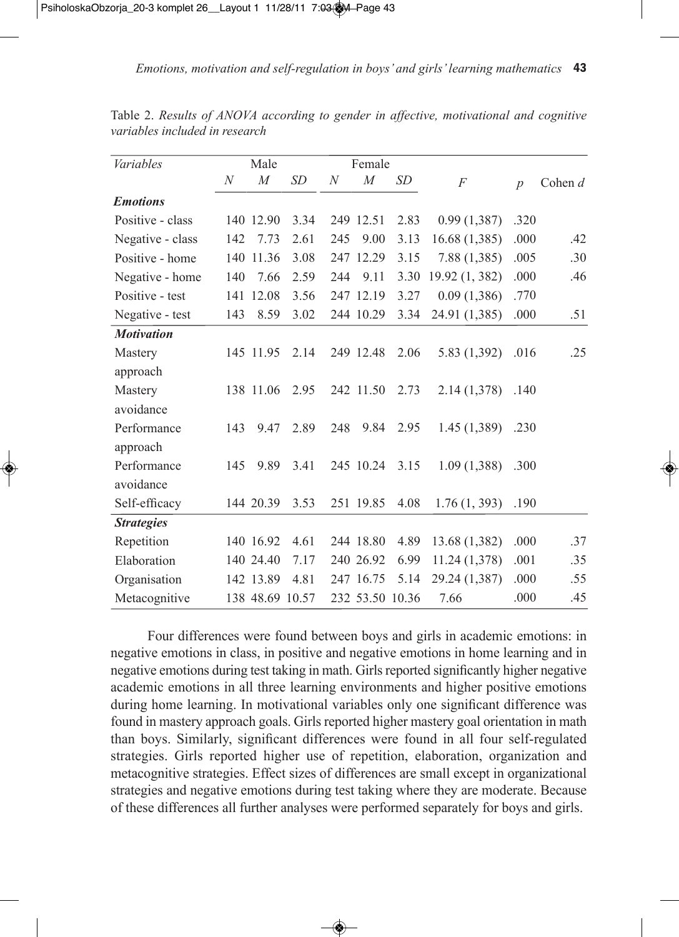| <b>Variables</b>  |     | Male             |           |     | Female          |      |                |                  |           |
|-------------------|-----|------------------|-----------|-----|-----------------|------|----------------|------------------|-----------|
|                   | N   | $\boldsymbol{M}$ | <b>SD</b> | N   | $\cal M$        | SD   | F              | $\boldsymbol{p}$ | Cohen $d$ |
| <b>Emotions</b>   |     |                  |           |     |                 |      |                |                  |           |
| Positive - class  |     | 140 12.90        | 3.34      |     | 249 12.51       | 2.83 | 0.99(1,387)    | .320             |           |
| Negative - class  | 142 | 7.73             | 2.61      | 245 | 9.00            | 3.13 | 16.68 (1,385)  | .000             | .42       |
| Positive - home   |     | 140 11.36        | 3.08      |     | 247 12.29       | 3.15 | 7.88(1,385)    | .005             | .30       |
| Negative - home   | 140 | 7.66             | 2.59      | 244 | 9.11            | 3.30 | 19.92 (1, 382) | .000             | .46       |
| Positive - test   |     | 141 12.08        | 3.56      |     | 247 12.19       | 3.27 | 0.09(1,386)    | .770             |           |
| Negative - test   | 143 | 8.59             | 3.02      |     | 244 10.29       | 3.34 | 24.91 (1,385)  | .000             | .51       |
| <b>Motivation</b> |     |                  |           |     |                 |      |                |                  |           |
| Mastery           |     | 145 11.95        | 2.14      |     | 249 12.48       | 2.06 | 5.83 (1,392)   | .016             | .25       |
| approach          |     |                  |           |     |                 |      |                |                  |           |
| Mastery           |     | 138 11.06        | 2.95      |     | 242 11.50       | 2.73 | 2.14(1,378)    | .140             |           |
| avoidance         |     |                  |           |     |                 |      |                |                  |           |
| Performance       | 143 | 9.47             | 2.89      | 248 | 9.84            | 2.95 | 1.45(1,389)    | .230             |           |
| approach          |     |                  |           |     |                 |      |                |                  |           |
| Performance       | 145 | 9.89             | 3.41      |     | 245 10.24       | 3.15 | 1.09(1,388)    | .300             |           |
| avoidance         |     |                  |           |     |                 |      |                |                  |           |
| Self-efficacy     |     | 144 20.39        | 3.53      |     | 251 19.85       | 4.08 | 1.76(1, 393)   | .190             |           |
| <b>Strategies</b> |     |                  |           |     |                 |      |                |                  |           |
| Repetition        |     | 140 16.92        | 4.61      |     | 244 18.80       | 4.89 | 13.68 (1,382)  | .000             | .37       |
| Elaboration       |     | 140 24.40        | 7.17      |     | 240 26.92       | 6.99 | 11.24(1,378)   | .001             | .35       |
| Organisation      |     | 142 13.89        | 4.81      |     | 247 16.75       | 5.14 | 29.24 (1,387)  | .000             | .55       |
| Metacognitive     |     | 138 48.69        | 10.57     |     | 232 53.50 10.36 |      | 7.66           | .000             | .45       |

Table 2. *Results of ANOVA according to gender in affective, motivational and cognitive variables included in research*

Four differences were found between boys and girls in academic emotions: in negative emotions in class, in positive and negative emotions in home learning and in negative emotions during test taking in math. Girls reported significantly higher negative academic emotions in all three learning environments and higher positive emotions during home learning. In motivational variables only one significant difference was found in mastery approach goals. Girls reported higher mastery goal orientation in math than boys. Similarly, significant differences were found in all four self-regulated strategies. Girls reported higher use of repetition, elaboration, organization and metacognitive strategies. Effect sizes of differences are small except in organizational strategies and negative emotions during test taking where they are moderate. Because of these differences all further analyses were performed separately for boys and girls.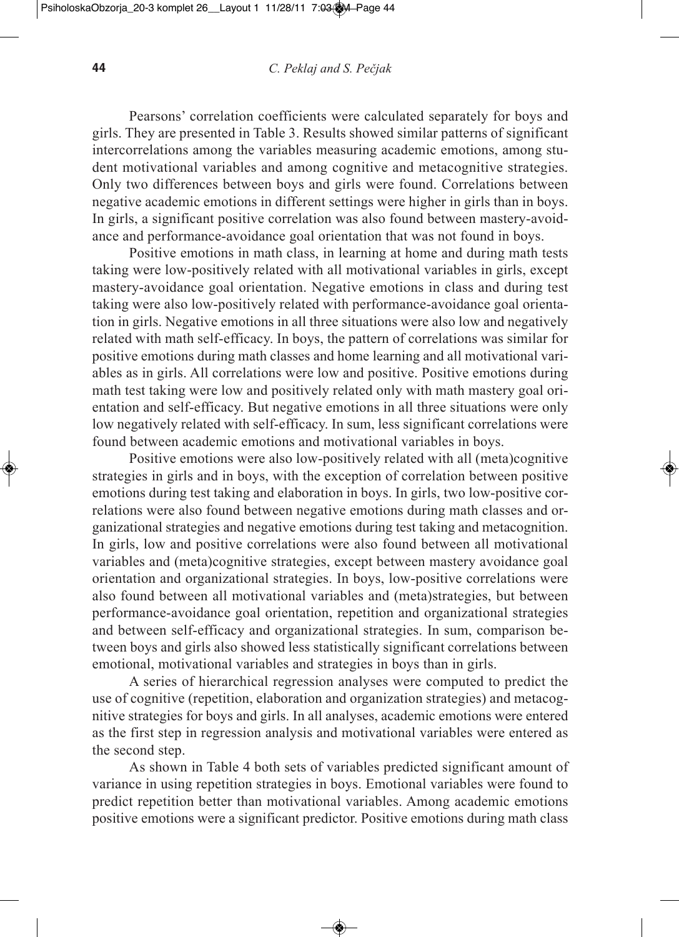Pearsons' correlation coefficients were calculated separately for boys and girls. They are presented in Table 3. Results showed similar patterns of significant intercorrelations among the variables measuring academic emotions, among student motivational variables and among cognitive and metacognitive strategies. Only two differences between boys and girls were found. Correlations between negative academic emotions in different settings were higher in girls than in boys. In girls, a significant positive correlation was also found between mastery-avoidance and performance-avoidance goal orientation that was not found in boys.

Positive emotions in math class, in learning at home and during math tests taking were low-positively related with all motivational variables in girls, except mastery-avoidance goal orientation. Negative emotions in class and during test taking were also low-positively related with performance-avoidance goal orientation in girls. Negative emotions in all three situations were also low and negatively related with math self-efficacy. In boys, the pattern of correlations was similar for positive emotions during math classes and home learning and all motivational variables as in girls. All correlations were low and positive. Positive emotions during math test taking were low and positively related only with math mastery goal orientation and self-efficacy. But negative emotions in all three situations were only low negatively related with self-efficacy. In sum, less significant correlations were found between academic emotions and motivational variables in boys.

Positive emotions were also low-positively related with all (meta)cognitive strategies in girls and in boys, with the exception of correlation between positive emotions during test taking and elaboration in boys. In girls, two low-positive correlations were also found between negative emotions during math classes and organizational strategies and negative emotions during test taking and metacognition. In girls, low and positive correlations were also found between all motivational variables and (meta)cognitive strategies, except between mastery avoidance goal orientation and organizational strategies. In boys, low-positive correlations were also found between all motivational variables and (meta)strategies, but between performance-avoidance goal orientation, repetition and organizational strategies and between self-efficacy and organizational strategies. In sum, comparison between boys and girls also showed less statistically significant correlations between emotional, motivational variables and strategies in boys than in girls.

A series of hierarchical regression analyses were computed to predict the use of cognitive (repetition, elaboration and organization strategies) and metacognitive strategies for boys and girls. In all analyses, academic emotions were entered as the first step in regression analysis and motivational variables were entered as the second step.

As shown in Table 4 both sets of variables predicted significant amount of variance in using repetition strategies in boys. Emotional variables were found to predict repetition better than motivational variables. Among academic emotions positive emotions were a significant predictor. Positive emotions during math class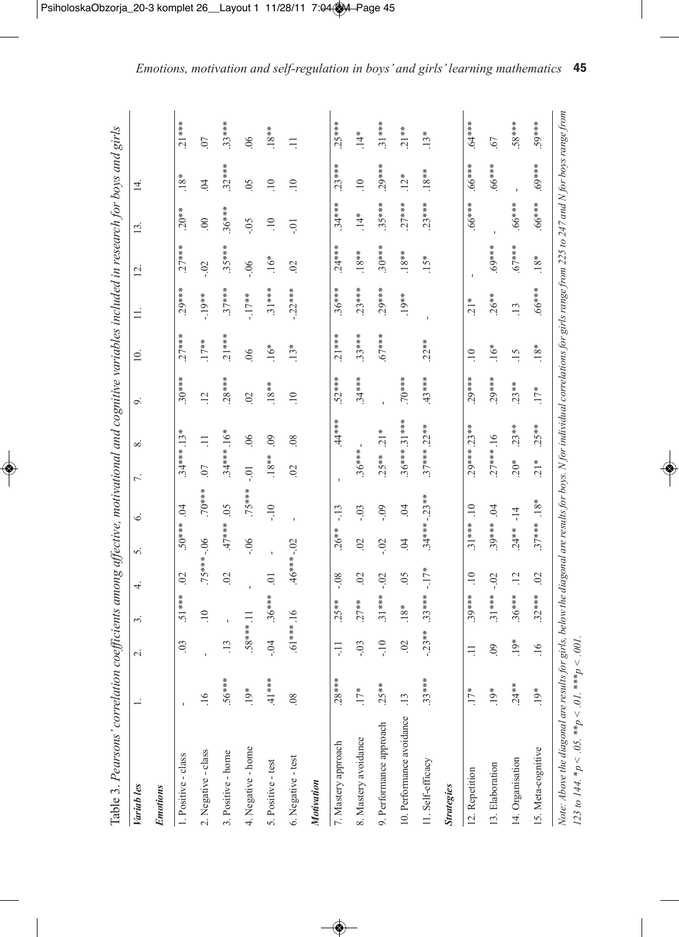| J                               |
|---------------------------------|
|                                 |
| l                               |
|                                 |
|                                 |
| l                               |
|                                 |
|                                 |
|                                 |
|                                 |
| I                               |
|                                 |
| j                               |
|                                 |
|                                 |
| )<br>I                          |
|                                 |
|                                 |
|                                 |
|                                 |
|                                 |
|                                 |
| ;<br>י                          |
| ì<br>š                          |
| )                               |
|                                 |
|                                 |
|                                 |
| ć<br>š                          |
| I<br>Í                          |
| i                               |
| Š                               |
| rreh<br>ļ                       |
| )<br>I<br>Ï                     |
| ؟<br>ت                          |
| š<br>ì                          |
| Ì<br>ļ<br>١<br>l                |
| ì<br>í<br>j<br>1<br>t           |
| ï<br>ì<br>$\bar{\sigma}$<br>֚֬֕ |
|                                 |

| Table 3. Pearsons' correlation coefficients among affective, motivational and cognitive variables included in research for boys and girls |                |                 |                 |                 |                 |                     |                          |                 |                 |                   |                 |                  |                 |                  |                |
|-------------------------------------------------------------------------------------------------------------------------------------------|----------------|-----------------|-----------------|-----------------|-----------------|---------------------|--------------------------|-----------------|-----------------|-------------------|-----------------|------------------|-----------------|------------------|----------------|
| Variab les                                                                                                                                |                | $\sim$          | 3.              | 4.              | 5.              | 6.                  | $\overline{\phantom{0}}$ | ∞ं              | 9.              | $\overline{10}$ . | $\equiv$        | $\overline{2}$ . | 13.             | $\overline{4}$ . |                |
| <b>Emotions</b>                                                                                                                           |                |                 |                 |                 |                 |                     |                          |                 |                 |                   |                 |                  |                 |                  |                |
| 1. Positive - class                                                                                                                       |                | $\mathfrak{S}$  | $51***$         | $\mathfrak{S}$  | 50***           | $\overline{6}$      | 34 *** . 13*             |                 | $.30***$        | $.27***$          | $.29***$        | $.27***$         | $.20**$         | $18*$            | $.21***$       |
| 2. Negative - class                                                                                                                       | 16             |                 | $\overline{10}$ | $.75*** - .06$  |                 | $***0$              | $\overline{0}$           | $\equiv$        | $\overline{12}$ | $.17**$           | $-19**$         | $-0.2$           | $\odot$         | $\tilde{z}$      | $\overline{0}$ |
| 3. Positive - home                                                                                                                        | $.56***$       | $\overline{13}$ |                 | $\overline{0}$  | $47***$         | 0 <sub>5</sub>      | $.34***16*$              |                 | $.28***$        | $21***$           | $.37***$        | $.35***$         | $.36***$        | $.32***$         | $.33***$       |
| 4. Negative - home                                                                                                                        | $19*$          | $.58***.11$     |                 |                 | $-0.06$         | .75***              | $-0.1$                   | 06              | $\Omega$        | .06               | $-17**$         | $-0.6$           | $-0.5$          | $\overline{0}$   | 06             |
| 5. Positive - test                                                                                                                        | $41***$        | $-0.4$          | $.36***$        | $\overline{0}$  |                 | $-10$               | $.18**$                  | $\overline{0}$  | $.18**$         | $16*$             | $.31***$        | $16*$            | $\overline{10}$ | $\overline{10}$  | $.18**$        |
| 6. Negative - test                                                                                                                        | 08             | $.61***16$      |                 | $46*** - 02$    |                 |                     | $\mathcal{O}$            | $\overline{08}$ | $\overline{10}$ | $13*$             | $-22***$        | $\mathcal{O}$    | $-0.1$          | $\overline{10}$  | $\equiv$       |
| Motivation                                                                                                                                |                |                 |                 |                 |                 |                     |                          |                 |                 |                   |                 |                  |                 |                  |                |
| 7. Mastery approach                                                                                                                       | $.28***$       | Ę               | $.25**$         | $-0.8$          | $.26**$         | $-13$               |                          | $44***$         | $.52***$        | $.21***$          | $.36***$        | $.24***$         | $.34***$        | $.23***$         | $.25***$       |
| 8. Mastery avoidance                                                                                                                      | $17*$          | $-0.5$          | $.27**$         | 02              | $\mathcal{S}$   | $-0.3$              | $.36***$                 |                 | $.34***$        | $.33***$          | $.23***$        | $.18**$          | $14*$           | $\overline{10}$  | $\ddot{4}$     |
| 9. Performance approach                                                                                                                   | $.25**$        | $-10$           | $.31***$        | $-02$           | $-0.2$          | $-0.9$              | $.25***$                 | $21*$           |                 | $.67***$          | $.29***$        | $.30***$         | $.35***$        | $.29***$         | $.31***$       |
| 10. Performance avoidance                                                                                                                 | $\frac{13}{2}$ | $\mathcal{O}$   | $18*$           | 05              | $\widetilde{B}$ | $\ddot{\mathrm{S}}$ |                          | 36*** 31***     | $***0$          |                   | $.19**$         | $.18**$          | $.27***$        | $12*$            | $.21**$        |
| 11. Self-efficacy                                                                                                                         | $.33***$       | $-23**$         | $.33***$        | $-17*$          |                 | $.34***-23***$      |                          | $.37***.22***$  | 43***           | $.22**$           |                 | $15*$            | $.23***$        | $.18**$          | $13*$          |
| <b>Strategies</b>                                                                                                                         |                |                 |                 |                 |                 |                     |                          |                 |                 |                   |                 |                  |                 |                  |                |
| 12. Repetition                                                                                                                            | $17*$          | Ξ               | $.39***$        | $\overline{10}$ | $.31***$        | $\overline{10}$     |                          | $29***.23***$   | $.29***$        | $\overline{10}$   | $\frac{1}{2}$   | $\blacksquare$   | $.66***$        | $.66***$         | $****6.$       |
| 13. Elaboration                                                                                                                           | $.19*$         | 60              | $.31***$        | $-02$           | $.39***$        | $\overline{0}$      | $.27***.16$              |                 | $.29***$        | $16*$             | $.26**$         | $***69*$         |                 | $.66***$         | .67            |
| 14. Organisation                                                                                                                          | $.24**$        | $19*$           | $.36***$        | $\overline{12}$ | $.24**$         | $-14$               | $20*$                    | $.23**$         | $.23**$         | 15                | $\overline{13}$ | $67***$          | .66***          |                  | ***85.         |
| 15. Meta-cognitive                                                                                                                        | $19*$          | .16             | $.32***$        | $\overline{0}$  | $.37***$        | $.18*$              | $21*$                    | $.25**$         | $17*$           | $.18*$            | $***899$ .      | $18*$            | $.66***$        | $***69.$         | $39***$        |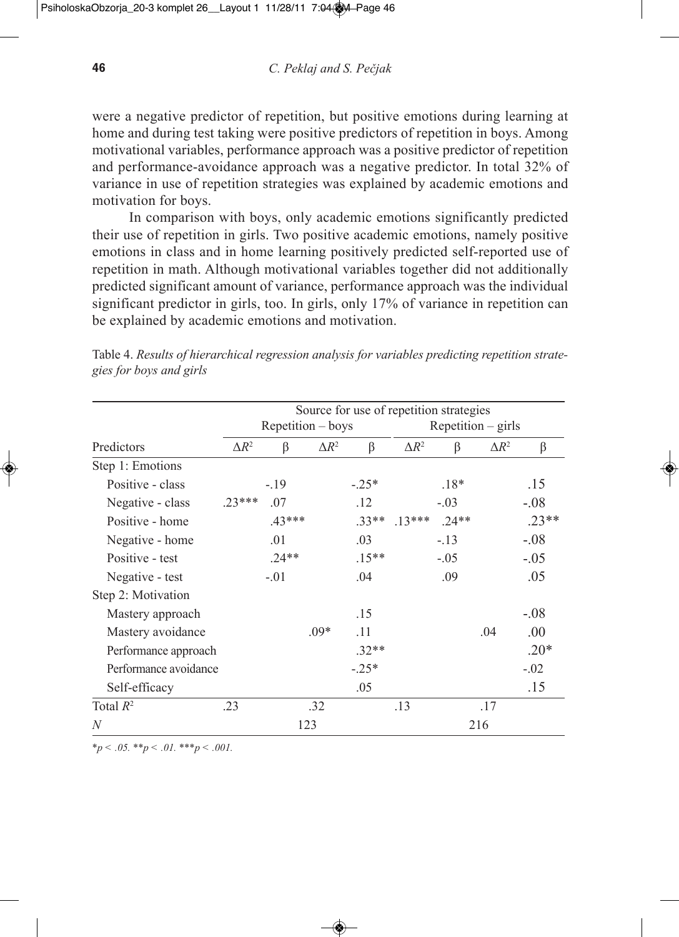were a negative predictor of repetition, but positive emotions during learning at home and during test taking were positive predictors of repetition in boys. Among motivational variables, performance approach was a positive predictor of repetition and performance-avoidance approach was a negative predictor. In total 32% of variance in use of repetition strategies was explained by academic emotions and motivation for boys.

In comparison with boys, only academic emotions significantly predicted their use of repetition in girls. Two positive academic emotions, namely positive emotions in class and in home learning positively predicted self-reported use of repetition in math. Although motivational variables together did not additionally predicted significant amount of variance, performance approach was the individual significant predictor in girls, too. In girls, only 17% of variance in repetition can be explained by academic emotions and motivation.

|                       |              |                   |              | Source for use of repetition strategies |              |         |                      |         |
|-----------------------|--------------|-------------------|--------------|-----------------------------------------|--------------|---------|----------------------|---------|
|                       |              | Repetition – boys |              |                                         |              |         | $Repetition - girls$ |         |
| Predictors            | $\Delta R^2$ | β                 | $\Delta R^2$ | β                                       | $\Delta R^2$ | ß       | $\Delta R^2$         | β       |
| Step 1: Emotions      |              |                   |              |                                         |              |         |                      |         |
| Positive - class      |              | $-.19$            |              | $-.25*$                                 |              | $.18*$  |                      | .15     |
| Negative - class      | $23***$      | .07               |              | .12                                     |              | $-.03$  |                      | $-.08$  |
| Positive - home       |              | $.43***$          |              | $33**$                                  | $.13***$     | $.24**$ |                      | $.23**$ |
| Negative - home       |              | .01               |              | .03                                     |              | $-.13$  |                      | $-.08$  |
| Positive - test       |              | $.24**$           |              | $.15**$                                 |              | $-.05$  |                      | $-.05$  |
| Negative - test       |              | $-.01$            |              | .04                                     |              | .09     |                      | .05     |
| Step 2: Motivation    |              |                   |              |                                         |              |         |                      |         |
| Mastery approach      |              |                   |              | .15                                     |              |         |                      | $-.08$  |
| Mastery avoidance     |              |                   | $.09*$       | .11                                     |              |         | .04                  | .00.    |
| Performance approach  |              |                   |              | $.32**$                                 |              |         |                      | $.20*$  |
| Performance avoidance |              |                   |              | $-.25*$                                 |              |         |                      | $-.02$  |
| Self-efficacy         |              |                   |              | .05                                     |              |         |                      | .15     |
| Total $R^2$           | .23          |                   | .32          |                                         | .13          |         | .17                  |         |
| N                     |              |                   | 123          |                                         |              |         | 216                  |         |

Table 4. *Results of hierarchical regression analysis for variables predicting repetition strategies for boys and girls*

*\*p < .05. \*\*p < .01. \*\*\*p < .001.*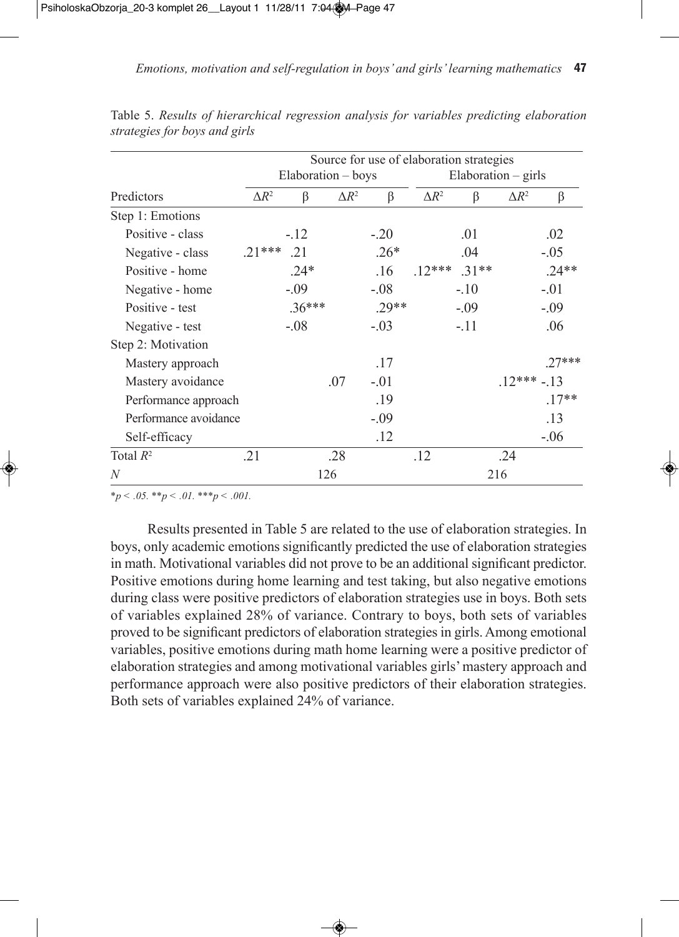|                       | Source for use of elaboration strategies |                    |              |         |              |         |                        |          |  |  |
|-----------------------|------------------------------------------|--------------------|--------------|---------|--------------|---------|------------------------|----------|--|--|
|                       |                                          | Elaboration – boys |              |         |              |         | $E$ laboration – girls |          |  |  |
| Predictors            | $\Delta R^2$                             | β                  | $\Delta R^2$ | $\beta$ | $\Delta R^2$ | β       | $\Delta R^2$           | β        |  |  |
| Step 1: Emotions      |                                          |                    |              |         |              |         |                        |          |  |  |
| Positive - class      |                                          | $-.12$             |              | $-20$   |              | .01     |                        | .02      |  |  |
| Negative - class      | $.21***$                                 | .21                |              | $.26*$  |              | .04     |                        | $-.05$   |  |  |
| Positive - home       |                                          | $.24*$             |              | .16     | $.12***$     | $.31**$ |                        | $.24**$  |  |  |
| Negative - home       |                                          | $-.09$             |              | $-0.08$ |              | $-.10$  |                        | $-.01$   |  |  |
| Positive - test       |                                          | $.36***$           |              | $.29**$ |              | $-.09$  |                        | $-.09$   |  |  |
| Negative - test       |                                          | $-.08$             |              | $-.03$  |              | $-.11$  |                        | .06      |  |  |
| Step 2: Motivation    |                                          |                    |              |         |              |         |                        |          |  |  |
| Mastery approach      |                                          |                    |              | .17     |              |         |                        | $.27***$ |  |  |
| Mastery avoidance     |                                          |                    | .07          | $-01$   |              |         | $.12*** - .13$         |          |  |  |
| Performance approach  |                                          |                    |              | .19     |              |         |                        | $.17**$  |  |  |
| Performance avoidance |                                          |                    |              | $-.09$  |              |         |                        | .13      |  |  |
| Self-efficacy         |                                          |                    |              | .12     |              |         |                        | $-.06$   |  |  |
| Total $R^2$           | .21                                      |                    | .28          |         | .12          |         | .24                    |          |  |  |
| N                     |                                          |                    | 126          |         |              |         | 216                    |          |  |  |

Table 5. *Results of hierarchical regression analysis for variables predicting elaboration strategies for boys and girls*

*\*p < .05. \*\*p < .01. \*\*\*p < .001.*

Results presented in Table 5 are related to the use of elaboration strategies. In boys, only academic emotions significantly predicted the use of elaboration strategies in math. Motivational variables did not prove to be an additional significant predictor. Positive emotions during home learning and test taking, but also negative emotions during class were positive predictors of elaboration strategies use in boys. Both sets of variables explained 28% of variance. Contrary to boys, both sets of variables proved to be significant predictors of elaboration strategies in girls. Among emotional variables, positive emotions during math home learning were a positive predictor of elaboration strategies and among motivational variables girls'mastery approach and performance approach were also positive predictors of their elaboration strategies. Both sets of variables explained 24% of variance.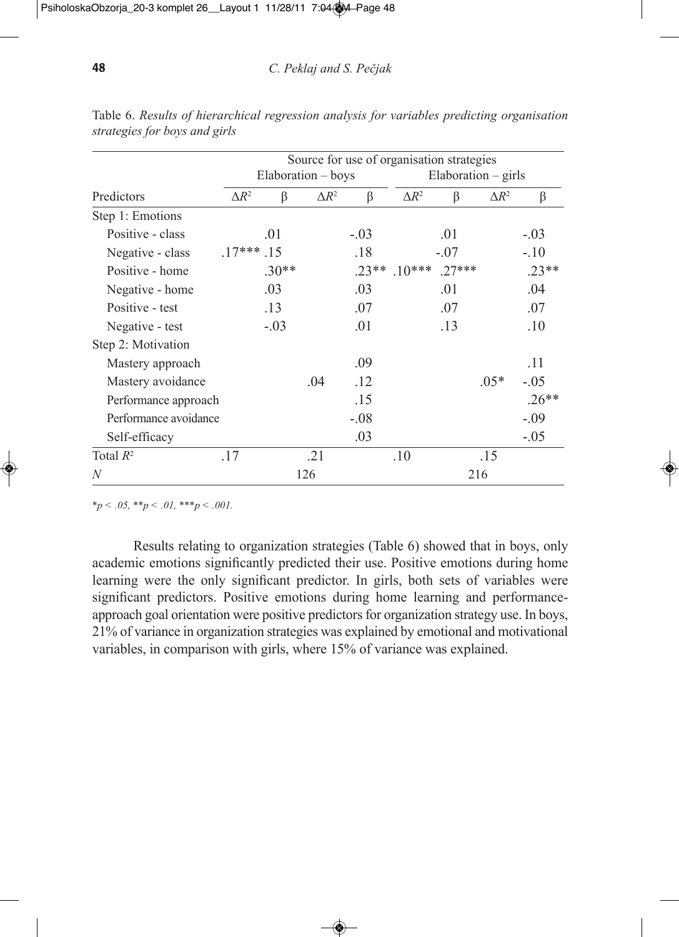|                       |              |         |                    | Source for use of organisation strategies |              |                     |              |         |
|-----------------------|--------------|---------|--------------------|-------------------------------------------|--------------|---------------------|--------------|---------|
|                       |              |         | Elaboration - boys |                                           |              | Elaboration - girls |              |         |
| Predictors            | $\Delta R^2$ | β       | $\Delta R^2$       | β                                         | $\Delta R^2$ | $\beta$             | $\Delta R^2$ | β       |
| Step 1: Emotions      |              |         |                    |                                           |              |                     |              |         |
| Positive - class      |              | .01     |                    | $-.03$                                    |              | .01                 |              | $-.03$  |
| Negative - class      | $.17***.15$  |         |                    | .18                                       |              | $-.07$              |              | $-.10$  |
| Positive - home       |              | $.30**$ |                    | $.23**$                                   | $.10***$     | $.27***$            |              | $.23**$ |
| Negative - home       |              | .03     |                    | .03                                       |              | .01                 |              | .04     |
| Positive - test       |              | .13     |                    | .07                                       |              | .07                 |              | .07     |
| Negative - test       |              | $-.03$  |                    | .01                                       |              | .13                 |              | .10     |
| Step 2: Motivation    |              |         |                    |                                           |              |                     |              |         |
| Mastery approach      |              |         |                    | .09                                       |              |                     |              | .11     |
| Mastery avoidance     |              |         | .04                | .12                                       |              |                     | $.05*$       | $-.05$  |
| Performance approach  |              |         |                    | .15                                       |              |                     |              | $.26**$ |
| Performance avoidance |              |         |                    | $-.08$                                    |              |                     |              | $-.09$  |
| Self-efficacy         |              |         |                    | .03                                       |              |                     |              | $-.05$  |
| Total $R^2$           | .17          |         | .21                |                                           | .10          |                     | .15          |         |
| N                     |              |         | 126                |                                           |              |                     | 216          |         |

Table 6. *Results of hierarchical regression analysis for variables predicting organisation strategies for boys and girls*

*\*p < .05, \*\*p < .01, \*\*\*p < .001.*

Results relating to organization strategies (Table 6) showed that in boys, only academic emotions significantly predicted their use. Positive emotions during home learning were the only significant predictor. In girls, both sets of variables were significant predictors. Positive emotions during home learning and performanceapproach goal orientation were positive predictors for organization strategy use. In boys, 21% of variance in organization strategies was explained by emotional and motivational variables, in comparison with girls, where 15% of variance was explained.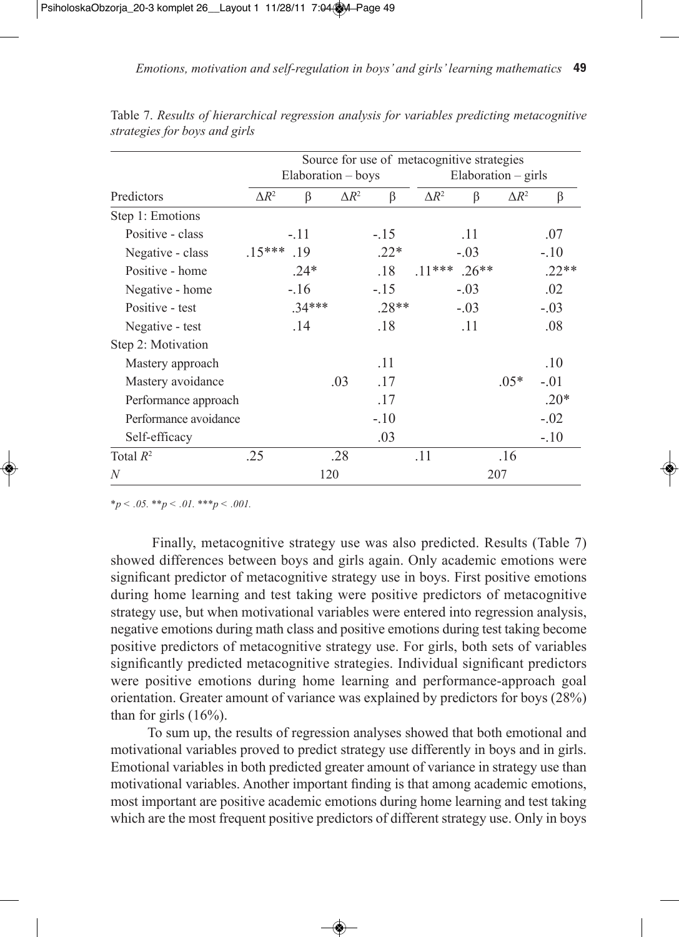|                       |              |                    |              | Source for use of metacognitive strategies |                |        |                          |         |
|-----------------------|--------------|--------------------|--------------|--------------------------------------------|----------------|--------|--------------------------|---------|
|                       |              | Elaboration – boys |              |                                            |                |        | $E$ laboration $-$ girls |         |
| Predictors            | $\Delta R^2$ | β                  | $\Delta R^2$ | β                                          | $\Delta R^2$   | β      | $\Delta R^2$             | β       |
| Step 1: Emotions      |              |                    |              |                                            |                |        |                          |         |
| Positive - class      |              | $-.11$             |              | $-.15$                                     |                | .11    |                          | .07     |
| Negative - class      | $.15***$     | .19                |              | $.22*$                                     |                | $-.03$ |                          | $-.10$  |
| Positive - home       |              | $.24*$             |              | .18                                        | $.11***$ .26** |        |                          | $.22**$ |
| Negative - home       |              | $-.16$             |              | $-.15$                                     |                | $-.03$ |                          | .02     |
| Positive - test       |              | $.34***$           |              | $.28**$                                    |                | $-.03$ |                          | $-.03$  |
| Negative - test       |              | 14                 |              | .18                                        |                | .11    |                          | .08     |
| Step 2: Motivation    |              |                    |              |                                            |                |        |                          |         |
| Mastery approach      |              |                    |              | .11                                        |                |        |                          | .10     |
| Mastery avoidance     |              |                    | .03          | .17                                        |                |        | $.05*$                   | $-.01$  |
| Performance approach  |              |                    |              | .17                                        |                |        |                          | $.20*$  |
| Performance avoidance |              |                    |              | $-.10$                                     |                |        |                          | $-.02$  |
| Self-efficacy         |              |                    |              | .03                                        |                |        |                          | $-.10$  |
| Total $R^2$           | .25          |                    | .28          |                                            | .11            |        | .16                      |         |
| N                     |              |                    | 120          |                                            |                |        | 207                      |         |

Table 7. *Results of hierarchical regression analysis for variables predicting metacognitive strategies for boys and girls*

*\*p < .05. \*\*p < .01. \*\*\*p < .001.*

Finally, metacognitive strategy use was also predicted. Results (Table 7) showed differences between boys and girls again. Only academic emotions were significant predictor of metacognitive strategy use in boys. First positive emotions during home learning and test taking were positive predictors of metacognitive strategy use, but when motivational variables were entered into regression analysis, negative emotions during math class and positive emotions during test taking become positive predictors of metacognitive strategy use. For girls, both sets of variables significantly predicted metacognitive strategies. Individual significant predictors were positive emotions during home learning and performance-approach goal orientation. Greater amount of variance was explained by predictors for boys (28%) than for girls  $(16%)$ .

To sum up, the results of regression analyses showed that both emotional and motivational variables proved to predict strategy use differently in boys and in girls. Emotional variables in both predicted greater amount of variance in strategy use than motivational variables. Another important finding is that among academic emotions, most important are positive academic emotions during home learning and test taking which are the most frequent positive predictors of different strategy use. Only in boys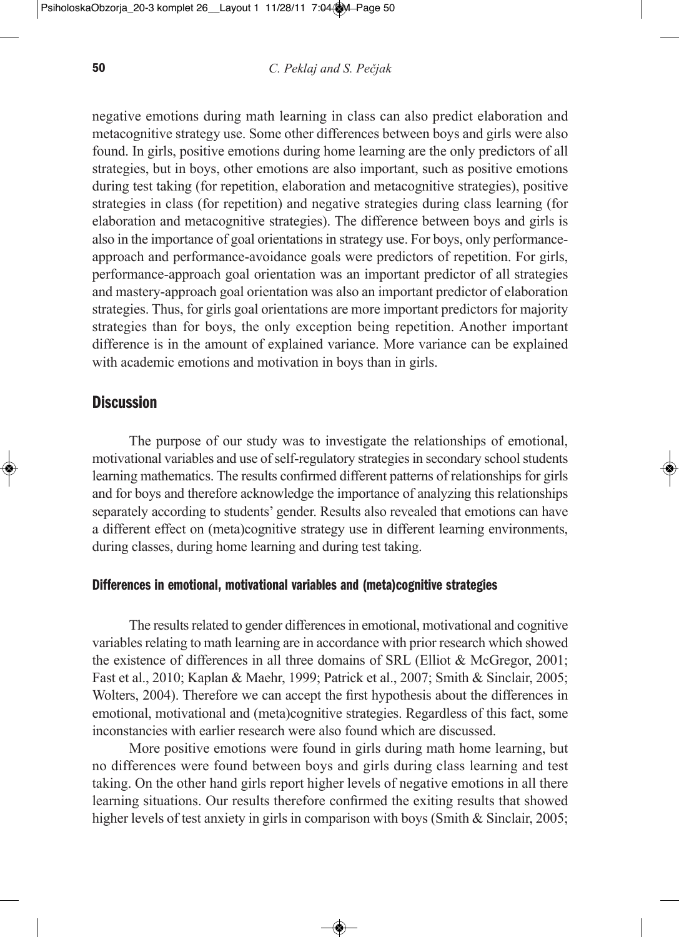negative emotions during math learning in class can also predict elaboration and metacognitive strategy use. Some other differences between boys and girls were also found. In girls, positive emotions during home learning are the only predictors of all strategies, but in boys, other emotions are also important, such as positive emotions during test taking (for repetition, elaboration and metacognitive strategies), positive strategies in class (for repetition) and negative strategies during class learning (for elaboration and metacognitive strategies). The difference between boys and girls is also in the importance of goal orientations in strategy use. For boys, only performanceapproach and performance-avoidance goals were predictors of repetition. For girls, performance-approach goal orientation was an important predictor of all strategies and mastery-approach goal orientation was also an important predictor of elaboration strategies. Thus, for girls goal orientations are more important predictors for majority strategies than for boys, the only exception being repetition. Another important difference is in the amount of explained variance. More variance can be explained with academic emotions and motivation in boys than in girls.

# **Discussion**

The purpose of our study was to investigate the relationships of emotional, motivational variables and use of self-regulatory strategies in secondary school students learning mathematics. The results confirmed different patterns of relationships for girls and for boys and therefore acknowledge the importance of analyzing this relationships separately according to students' gender. Results also revealed that emotions can have a different effect on (meta)cognitive strategy use in different learning environments, during classes, during home learning and during test taking.

#### **Differences in emotional, motivational variables and (meta)cognitive strategies**

The results related to gender differences in emotional, motivational and cognitive variables relating to math learning are in accordance with prior research which showed the existence of differences in all three domains of SRL (Elliot & McGregor, 2001; Fast et al., 2010; Kaplan & Maehr, 1999; Patrick et al., 2007; Smith & Sinclair, 2005; Wolters, 2004). Therefore we can accept the first hypothesis about the differences in emotional, motivational and (meta)cognitive strategies. Regardless of this fact, some inconstancies with earlier research were also found which are discussed.

More positive emotions were found in girls during math home learning, but no differences were found between boys and girls during class learning and test taking. On the other hand girls report higher levels of negative emotions in all there learning situations. Our results therefore confirmed the exiting results that showed higher levels of test anxiety in girls in comparison with boys (Smith & Sinclair, 2005;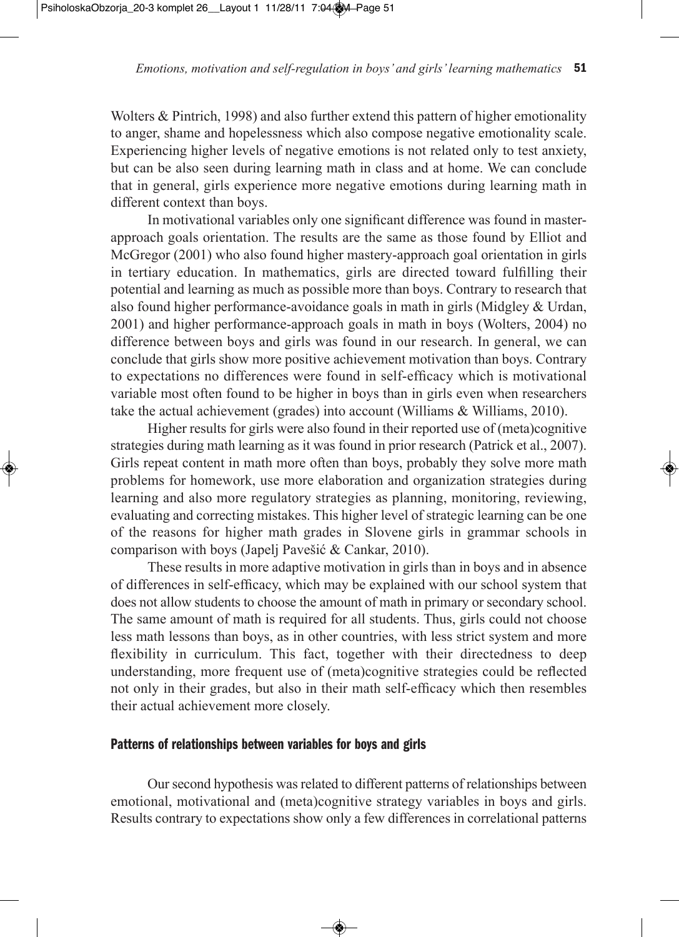Wolters & Pintrich, 1998) and also further extend this pattern of higher emotionality to anger, shame and hopelessness which also compose negative emotionality scale. Experiencing higher levels of negative emotions is not related only to test anxiety, but can be also seen during learning math in class and at home. We can conclude that in general, girls experience more negative emotions during learning math in different context than boys.

In motivational variables only one significant difference was found in masterapproach goals orientation. The results are the same as those found by Elliot and McGregor (2001) who also found higher mastery-approach goal orientation in girls in tertiary education. In mathematics, girls are directed toward fulfilling their potential and learning as much as possible more than boys. Contrary to research that also found higher performance-avoidance goals in math in girls (Midgley & Urdan, 2001) and higher performance-approach goals in math in boys (Wolters, 2004) no difference between boys and girls was found in our research. In general, we can conclude that girls show more positive achievement motivation than boys. Contrary to expectations no differences were found in self-efficacy which is motivational variable most often found to be higher in boys than in girls even when researchers take the actual achievement (grades) into account (Williams & Williams, 2010).

Higher results for girls were also found in their reported use of (meta)cognitive strategies during math learning as it was found in prior research (Patrick et al., 2007). Girls repeat content in math more often than boys, probably they solve more math problems for homework, use more elaboration and organization strategies during learning and also more regulatory strategies as planning, monitoring, reviewing, evaluating and correcting mistakes. This higher level of strategic learning can be one of the reasons for higher math grades in Slovene girls in grammar schools in comparison with boys (Japelj Pavešić & Cankar, 2010).

These results in more adaptive motivation in girls than in boys and in absence of differences in self-efficacy, which may be explained with our school system that does not allow students to choose the amount of math in primary or secondary school. The same amount of math is required for all students. Thus, girls could not choose less math lessons than boys, as in other countries, with less strict system and more flexibility in curriculum. This fact, together with their directedness to deep understanding, more frequent use of (meta)cognitive strategies could be reflected not only in their grades, but also in their math self-efficacy which then resembles their actual achievement more closely.

## **Patterns of relationships between variables for boys and girls**

Our second hypothesis was related to different patterns of relationships between emotional, motivational and (meta)cognitive strategy variables in boys and girls. Results contrary to expectations show only a few differences in correlational patterns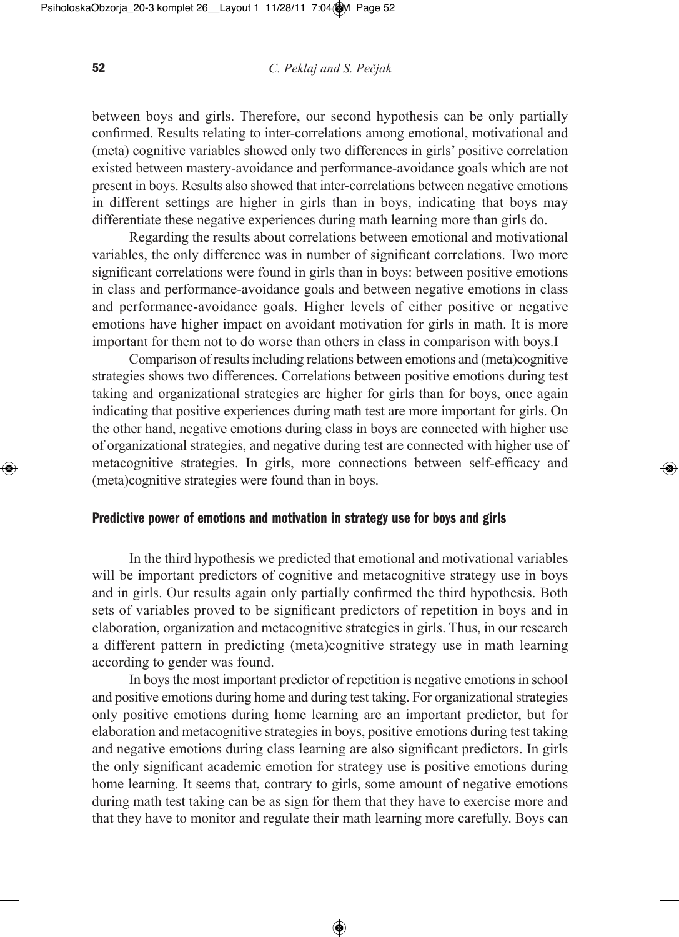between boys and girls. Therefore, our second hypothesis can be only partially confirmed. Results relating to inter-correlations among emotional, motivational and (meta) cognitive variables showed only two differences in girls' positive correlation existed between mastery-avoidance and performance-avoidance goals which are not present in boys. Results also showed that inter-correlations between negative emotions in different settings are higher in girls than in boys, indicating that boys may differentiate these negative experiences during math learning more than girls do.

Regarding the results about correlations between emotional and motivational variables, the only difference was in number of significant correlations. Two more significant correlations were found in girls than in boys: between positive emotions in class and performance-avoidance goals and between negative emotions in class and performance-avoidance goals. Higher levels of either positive or negative emotions have higher impact on avoidant motivation for girls in math. It is more important for them not to do worse than others in class in comparison with boys.I

Comparison of results including relations between emotions and (meta)cognitive strategies shows two differences. Correlations between positive emotions during test taking and organizational strategies are higher for girls than for boys, once again indicating that positive experiences during math test are more important for girls. On the other hand, negative emotions during class in boys are connected with higher use of organizational strategies, and negative during test are connected with higher use of metacognitive strategies. In girls, more connections between self-efficacy and (meta)cognitive strategies were found than in boys.

#### **Predictive power of emotions and motivation in strategy use for boys and girls**

In the third hypothesis we predicted that emotional and motivational variables will be important predictors of cognitive and metacognitive strategy use in boys and in girls. Our results again only partially confirmed the third hypothesis. Both sets of variables proved to be significant predictors of repetition in boys and in elaboration, organization and metacognitive strategies in girls. Thus, in our research a different pattern in predicting (meta)cognitive strategy use in math learning according to gender was found.

In boysthe most important predictor of repetition is negative emotionsin school and positive emotions during home and during test taking. For organizational strategies only positive emotions during home learning are an important predictor, but for elaboration and metacognitive strategies in boys, positive emotions during test taking and negative emotions during class learning are also significant predictors. In girls the only significant academic emotion for strategy use is positive emotions during home learning. It seems that, contrary to girls, some amount of negative emotions during math test taking can be as sign for them that they have to exercise more and that they have to monitor and regulate their math learning more carefully. Boys can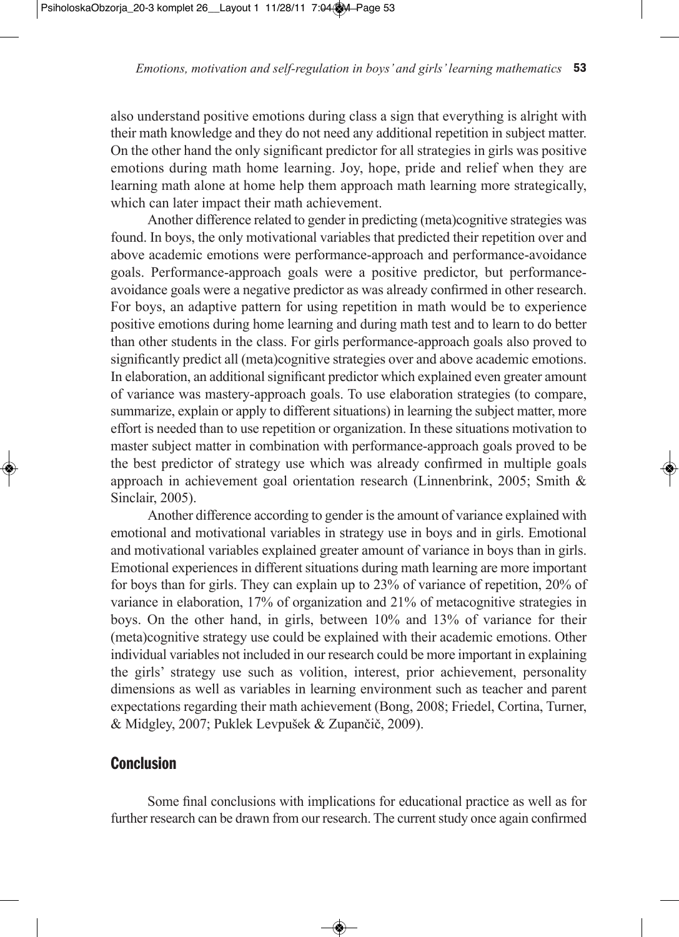also understand positive emotions during class a sign that everything is alright with their math knowledge and they do not need any additional repetition in subject matter. On the other hand the only significant predictor for all strategies in girls was positive emotions during math home learning. Joy, hope, pride and relief when they are learning math alone at home help them approach math learning more strategically, which can later impact their math achievement.

Another difference related to gender in predicting (meta)cognitive strategies was found. In boys, the only motivational variables that predicted their repetition over and above academic emotions were performance-approach and performance-avoidance goals. Performance-approach goals were a positive predictor, but performanceavoidance goals were a negative predictor as was already confirmed in other research. For boys, an adaptive pattern for using repetition in math would be to experience positive emotions during home learning and during math test and to learn to do better than other students in the class. For girls performance-approach goals also proved to significantly predict all (meta)cognitive strategies over and above academic emotions. In elaboration, an additional significant predictor which explained even greater amount of variance was mastery-approach goals. To use elaboration strategies (to compare, summarize, explain or apply to different situations) in learning the subject matter, more effort is needed than to use repetition or organization. In these situations motivation to master subject matter in combination with performance-approach goals proved to be the best predictor of strategy use which was already confirmed in multiple goals approach in achievement goal orientation research (Linnenbrink, 2005; Smith & Sinclair, 2005).

Another difference according to gender is the amount of variance explained with emotional and motivational variables in strategy use in boys and in girls. Emotional and motivational variables explained greater amount of variance in boys than in girls. Emotional experiences in different situations during math learning are more important for boys than for girls. They can explain up to 23% of variance of repetition, 20% of variance in elaboration, 17% of organization and 21% of metacognitive strategies in boys. On the other hand, in girls, between 10% and 13% of variance for their (meta)cognitive strategy use could be explained with their academic emotions. Other individual variables not included in our research could be more important in explaining the girls' strategy use such as volition, interest, prior achievement, personality dimensions as well as variables in learning environment such as teacher and parent expectations regarding their math achievement (Bong, 2008; Friedel, Cortina, Turner, & Midgley, 2007; Puklek Levpušek & Zupančič, 2009).

# **Conclusion**

Some final conclusions with implications for educational practice as well as for further research can be drawn from our research. The current study once again confirmed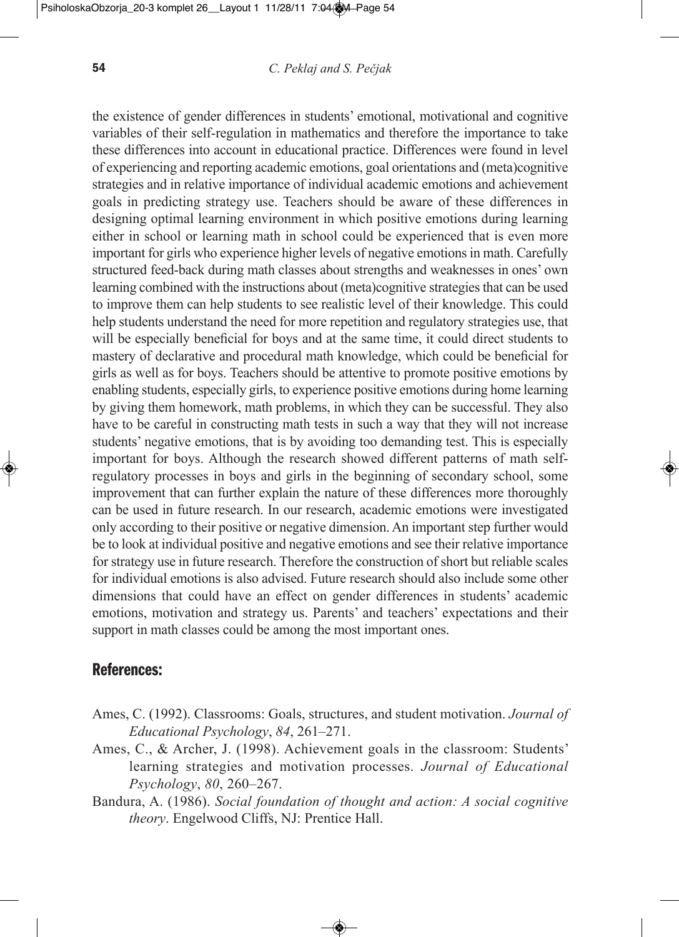the existence of gender differences in students' emotional, motivational and cognitive variables of their self-regulation in mathematics and therefore the importance to take these differences into account in educational practice. Differences were found in level of experiencing and reporting academic emotions, goal orientations and (meta)cognitive strategies and in relative importance of individual academic emotions and achievement goals in predicting strategy use. Teachers should be aware of these differences in designing optimal learning environment in which positive emotions during learning either in school or learning math in school could be experienced that is even more important for girls who experience higher levels of negative emotionsin math. Carefully structured feed-back during math classes about strengths and weaknesses in ones' own learning combined with the instructions about (meta)cognitive strategies that can be used to improve them can help students to see realistic level of their knowledge. This could help students understand the need for more repetition and regulatory strategies use, that will be especially beneficial for boys and at the same time, it could direct students to mastery of declarative and procedural math knowledge, which could be beneficial for girls as well as for boys. Teachers should be attentive to promote positive emotions by enabling students, especially girls, to experience positive emotions during home learning by giving them homework, math problems, in which they can be successful. They also have to be careful in constructing math tests in such a way that they will not increase students' negative emotions, that is by avoiding too demanding test. This is especially important for boys. Although the research showed different patterns of math selfregulatory processes in boys and girls in the beginning of secondary school, some improvement that can further explain the nature of these differences more thoroughly can be used in future research. In our research, academic emotions were investigated only according to their positive or negative dimension. An important step further would be to look at individual positive and negative emotions and see their relative importance for strategy use in future research. Therefore the construction of short but reliable scales for individual emotions is also advised. Future research should also include some other dimensions that could have an effect on gender differences in students' academic emotions, motivation and strategy us. Parents' and teachers' expectations and their support in math classes could be among the most important ones.

### **References:**

- Ames, C. (1992). Classrooms: Goals, structures, and student motivation. *Journal of educational Psychology*, *84*, 261–271.
- Ames, C., & Archer, J. (1998). Achievement goals in the classroom: Students' learning strategies and motivation processes. *Journal of Educational Psychology*, *80*, 260–267.
- Bandura, A. (1986). *Social foundation of thought and action: A social cognitive theory*. Engelwood Cliffs, NJ: Prentice Hall.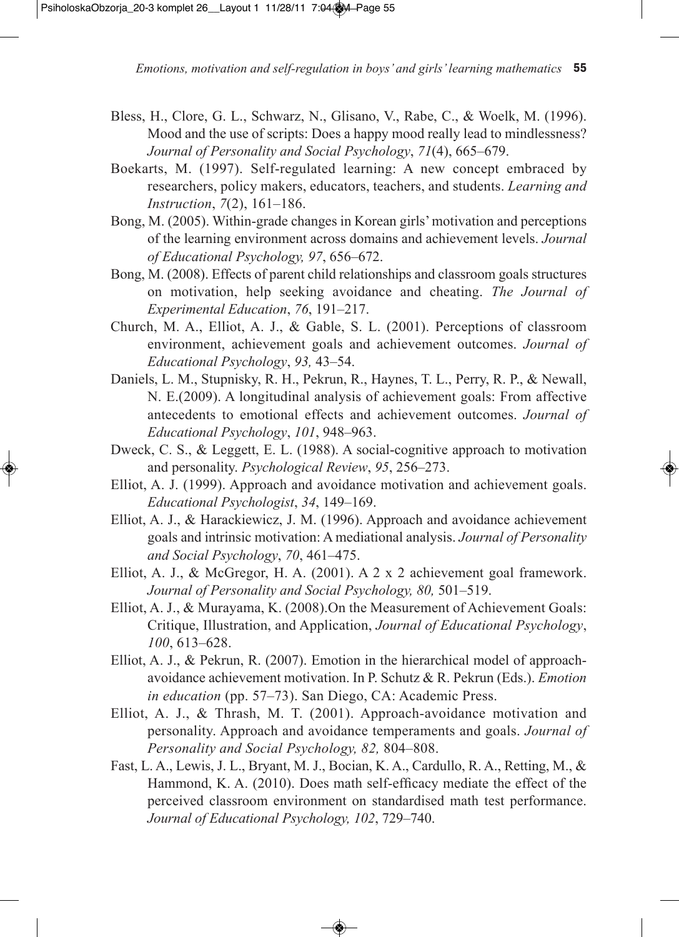- Bless, H., Clore, G. L., Schwarz, N., Glisano, V., Rabe, C., & Woelk, M. (1996). Mood and the use of scripts: Does a happy mood really lead to mindlessness? *Journal of Personality and Social Psychology*, *71*(4), 665*–*679.
- Boekarts, M. (1997). Self-regulated learning: A new concept embraced by researchers, policy makers, educators, teachers, and students. *Learning and Instruction*, *7*(2), 161*–*186.
- Bong, M. (2005). Within-grade changes in Korean girls'motivation and perceptions of the learning environment across domains and achievement levels. *Journal of educational Psychology, 97*, 656–672.
- Bong, M. (2008). Effects of parent child relationships and classroom goals structures on motivation, help seeking avoidance and cheating. *The Journal of Experimental Education, 76, 191–217.*
- Church, M. A., Elliot, A. J., & Gable, S. L. (2001). Perceptions of classroom environment, achievement goals and achievement outcomes. *Journal of educational Psychology*, *93,* 43–54.
- Daniels, L. M., Stupnisky, R. H., Pekrun, R., Haynes, T. L., Perry, R. P., & Newall, N. E.(2009). A longitudinal analysis of achievement goals: From affective antecedents to emotional effects and achievement outcomes. *Journal of educational Psychology*, *101*, 948*–*963.
- Dweck, C. S., & Leggett, E. L. (1988). A social-cognitive approach to motivation and personality. *Psychological Review*, *95*, 256–273.
- Elliot, A. J. (1999). Approach and avoidance motivation and achievement goals. *educational Psychologist*, *34*, 149–169.
- Elliot, A. J., & Harackiewicz, J. M. (1996). Approach and avoidance achievement goals and intrinsic motivation: A mediational analysis. *Journal of Personality and Social Psychology*, *70*, 461–475.
- Elliot, A. J., & McGregor, H. A. (2001). A 2 x 2 achievement goal framework. *Journal of Personality and Social Psychology, 80,* 501–519.
- Elliot, A. J., & Murayama, K. (2008).On the Measurement of Achievement Goals: Critique, Illustration, and Application, *Journal of educational Psychology*, *100*, 613*–*628.
- Elliot, A. J., & Pekrun, R. (2007). Emotion in the hierarchical model of approachavoidance achievement motivation. In P. Schutz & R. Pekrun (Eds.). *emotion in education* (pp. 57*–*73). San Diego, CA: Academic Press.
- Elliot, A. J., & Thrash, M. T. (2001). Approach-avoidance motivation and personality. Approach and avoidance temperaments and goals. *Journal of Personality and Social Psychology, 82,* 804–808.
- Fast, L. A., Lewis, J. L., Bryant, M. J., Bocian, K. A., Cardullo, R. A., Retting, M., & Hammond, K. A. (2010). Does math self-efficacy mediate the effect of the perceived classroom environment on standardised math test performance. *Journal of educational Psychology, 102*, 729–740.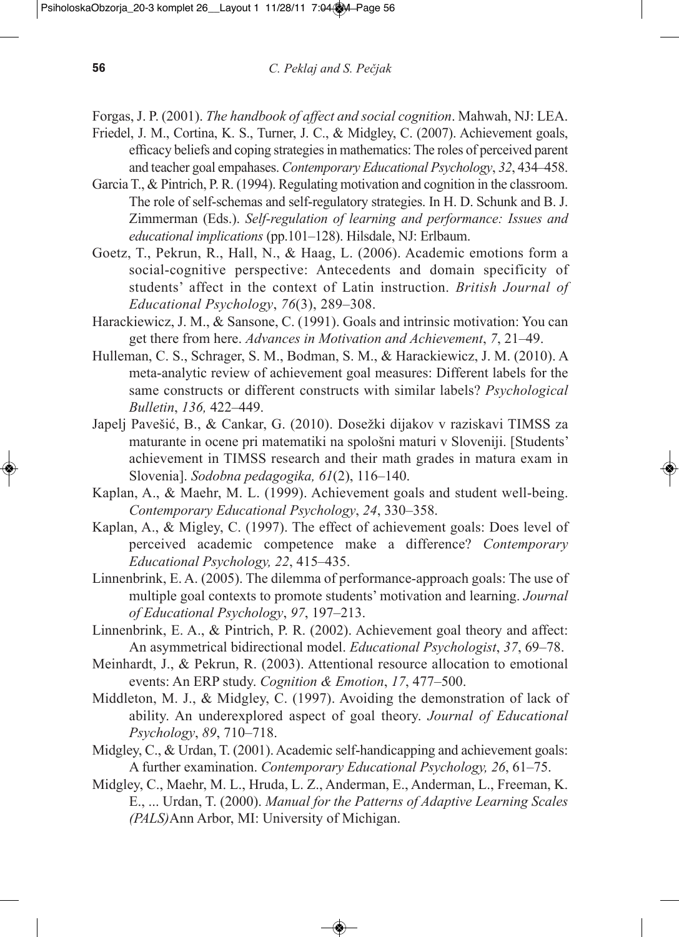Forgas, J. P. (2001). *The handbook of affect and social cognition*. Mahwah, NJ: LEA.

- Friedel, J. M., Cortina, K. S., Turner, J. C., & Midgley, C. (2007). Achievement goals, efficacy beliefs and coping strategiesin mathematics: The roles of perceived parent and teacher goal empahases. *Contemporary educational Psychology*, *32*, 434–458.
- Garcia T., & Pintrich, P. R. (1994). Regulating motivation and cognition in the classroom. The role of self-schemas and self-regulatory strategies. In H. D. Schunk and B. J. Zimmerman (Eds.). *Self-regulation of learning and performance: Issues and educational implications* (pp.101–128). Hilsdale, NJ: Erlbaum.
- Goetz, T., Pekrun, R., Hall, N., & Haag, L. (2006). Academic emotions form a social-cognitive perspective: Antecedents and domain specificity of students' affect in the context of Latin instruction. *British Journal of educational Psychology*, *76*(3), 289*–*308.
- Harackiewicz, J. M., & Sansone, C. (1991). Goals and intrinsic motivation: You can get there from here. *Advances in Motivation and Achievement*, *7*, 21–49.
- Hulleman, C. S., Schrager, S. M., Bodman, S. M., & Harackiewicz, J. M. (2010). A meta-analytic review of achievement goal measures: Different labels for the same constructs or different constructs with similar labels? *Psychological Bulletin*, *136,* 422–449.
- Japelj Pavešić, B., & Cankar, G. (2010). Dosežki dijakov v raziskavi TIMSS za maturante in ocene pri matematiki na spološni maturi v Sloveniji. [Students' achievement in TIMSS research and their math grades in matura exam in Slovenia]. *Sodobna pedagogika, 61*(2), 116–140.
- Kaplan, A., & Maehr, M. L. (1999). Achievement goals and student well-being. *Contemporary educational Psychology*, *24*, 330–358.
- Kaplan, A., & Migley, C. (1997). The effect of achievement goals: Does level of perceived academic competence make a difference? *Contemporary educational Psychology, 22*, 415–435.
- Linnenbrink, E. A. (2005). The dilemma of performance-approach goals: The use of multiple goal contexts to promote students' motivation and learning. *Journal of educational Psychology*, *97*, 197–213.
- Linnenbrink, E. A., & Pintrich, P. R. (2002). Achievement goal theory and affect: An asymmetrical bidirectional model. *educational Psychologist*, *37*, 69*–*78.
- Meinhardt, J., & Pekrun, R. (2003). Attentional resource allocation to emotional events: An ERP study. *Cognition & Emotion*, 17, 477–500.
- Middleton, M. J., & Midgley, C. (1997). Avoiding the demonstration of lack of ability. An underexplored aspect of goal theory. *Journal of Educational Psychology*, *89*, 710–718.
- Midgley, C., & Urdan, T. (2001). Academic self-handicapping and achievement goals: A further examination. *Contemporary educational Psychology, 26*, 61–75.
- Midgley, C., Maehr, M. L., Hruda, L. Z., Anderman, E., Anderman, L., Freeman, K. E., ... Urdan, T. (2000). *Manual for the Patterns of Adaptive Learning Scales (PALS)*Ann Arbor, MI: University of Michigan.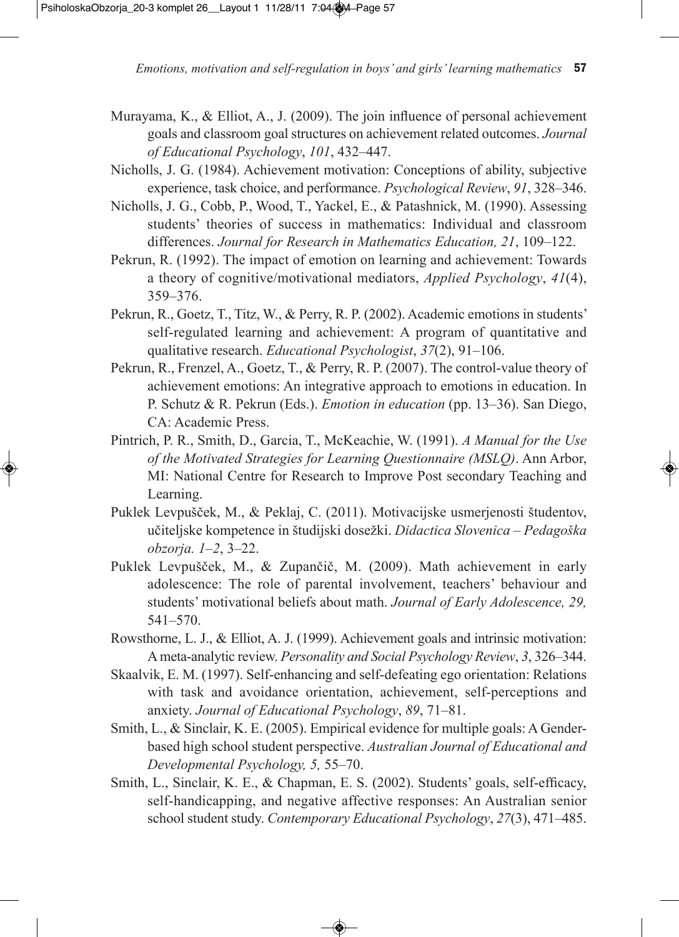- Murayama, K., & Elliot, A., J. (2009). The join influence of personal achievement goals and classroom goal structures on achievement related outcomes. *Journal of educational Psychology*, *101*, 432–447.
- Nicholls, J. G. (1984). Achievement motivation: Conceptions of ability, subjective experience, task choice, and performance. *Psychological Review*, *91*, 328–346.
- Nicholls, J. G., Cobb, P., Wood, T., Yackel, E., & Patashnick, M. (1990). Assessing students' theories of success in mathematics: Individual and classroom differences. *Journal for Research in Mathematics education, 21*, 109–122.
- Pekrun, R. (1992). The impact of emotion on learning and achievement: Towards a theory of cognitive/motivational mediators, *Applied Psychology*, *41*(4), 359*–*376.
- Pekrun, R., Goetz, T., Titz, W., & Perry, R. P. (2002). Academic emotions in students' self-regulated learning and achievement: A program of quantitative and qualitative research. *educational Psychologist*, *37*(2), 91*–*106.
- Pekrun, R., Frenzel, A., Goetz, T., & Perry, R. P. (2007). The control-value theory of achievement emotions: An integrative approach to emotions in education. In P. Schutz & R. Pekrun (Eds.). *emotion in education* (pp. 13*–*36). San Diego, CA: Academic Press.
- Pintrich, P. R., Smith, D., Garcia, T., McKeachie, W. (1991). *A Manual for the use of the Motivated Strategies for Learning Questionnaire (MSLQ)*. Ann Arbor, MI: National Centre for Research to Improve Post secondary Teaching and Learning.
- Puklek Levpušček, M., & Peklaj, C. (2011). Motivacijske usmerjenosti študentov, učiteljske kompetence in študijski dosežki. *Didactica Slovenica – Pedagoška obzorja. 1*–*2*, 3–22.
- Puklek Levpušček, M., & Zupančič, M. (2009). Math achievement in early adolescence: The role of parental involvement, teachers' behaviour and students' motivational beliefs about math. *Journal of Early Adolescence*, 29, 541–570.
- Rowsthorne, L. J., & Elliot, A. J. (1999). Achievement goals and intrinsic motivation: Ameta-analytic review. *Personality and Social Psychology Review*, *3*, 326–344.
- Skaalvik, E. M. (1997). Self-enhancing and self-defeating ego orientation: Relations with task and avoidance orientation, achievement, self-perceptions and anxiety. *Journal of educational Psychology*, *89*, 71–81.
- Smith, L., & Sinclair, K. E. (2005). Empirical evidence for multiple goals: A Genderbased high school student perspective. *Australian Journal of educational and Developmental Psychology, 5,* 55*–*70.
- Smith, L., Sinclair, K. E., & Chapman, E. S. (2002). Students' goals, self-efficacy, self-handicapping, and negative affective responses: An Australian senior school student study. *Contemporary educational Psychology*, *27*(3), 471*–*485.